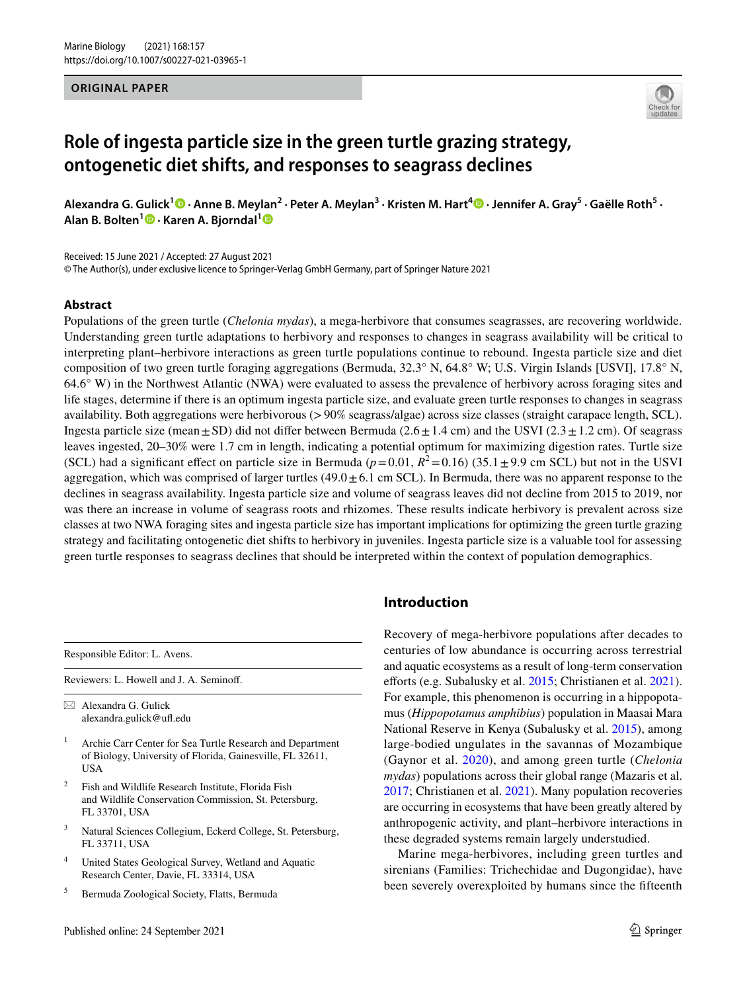#### **ORIGINAL PAPER**



# **Role of ingesta particle size in the green turtle grazing strategy, ontogenetic diet shifts, and responses to seagrass declines**

Alexandra G. Gulick<sup>1</sup> • Anne B. Meylan<sup>2</sup> • Peter A. Meylan<sup>3</sup> • Kristen M. Hart<sup>4</sup> • Jennifer A. Gray<sup>5</sup> • Gaëlle Roth<sup>5</sup> • **Alan B. Bolten<sup>1</sup>  [·](http://orcid.org/0000-0002-4834-2742) Karen A. Bjorndal[1](http://orcid.org/0000-0002-6286-1901)**

Received: 15 June 2021 / Accepted: 27 August 2021

© The Author(s), under exclusive licence to Springer-Verlag GmbH Germany, part of Springer Nature 2021

#### **Abstract**

Populations of the green turtle (*Chelonia mydas*), a mega-herbivore that consumes seagrasses, are recovering worldwide. Understanding green turtle adaptations to herbivory and responses to changes in seagrass availability will be critical to interpreting plant–herbivore interactions as green turtle populations continue to rebound. Ingesta particle size and diet composition of two green turtle foraging aggregations (Bermuda, 32.3° N, 64.8° W; U.S. Virgin Islands [USVI], 17.8° N, 64.6° W) in the Northwest Atlantic (NWA) were evaluated to assess the prevalence of herbivory across foraging sites and life stages, determine if there is an optimum ingesta particle size, and evaluate green turtle responses to changes in seagrass availability. Both aggregations were herbivorous (>90% seagrass/algae) across size classes (straight carapace length, SCL). Ingesta particle size (mean $\pm$ SD) did not differ between Bermuda (2.6 $\pm$ 1.4 cm) and the USVI (2.3 $\pm$ 1.2 cm). Of seagrass leaves ingested, 20–30% were 1.7 cm in length, indicating a potential optimum for maximizing digestion rates. Turtle size (SCL) had a significant effect on particle size in Bermuda ( $p=0.01$ ,  $R^2=0.16$ ) (35.1 $\pm$ 9.9 cm SCL) but not in the USVI aggregation, which was comprised of larger turtles  $(49.0 \pm 6.1 \text{ cm}$  SCL). In Bermuda, there was no apparent response to the declines in seagrass availability. Ingesta particle size and volume of seagrass leaves did not decline from 2015 to 2019, nor was there an increase in volume of seagrass roots and rhizomes. These results indicate herbivory is prevalent across size classes at two NWA foraging sites and ingesta particle size has important implications for optimizing the green turtle grazing strategy and facilitating ontogenetic diet shifts to herbivory in juveniles. Ingesta particle size is a valuable tool for assessing green turtle responses to seagrass declines that should be interpreted within the context of population demographics.

Responsible Editor: L. Avens.

Reviewers: L. Howell and J. A. Seminof.

 $\boxtimes$  Alexandra G. Gulick alexandra.gulick@uf.edu

- <sup>1</sup> Archie Carr Center for Sea Turtle Research and Department of Biology, University of Florida, Gainesville, FL 32611, USA
- <sup>2</sup> Fish and Wildlife Research Institute, Florida Fish and Wildlife Conservation Commission, St. Petersburg, FL 33701, USA
- <sup>3</sup> Natural Sciences Collegium, Eckerd College, St. Petersburg, FL 33711, USA
- <sup>4</sup> United States Geological Survey, Wetland and Aquatic Research Center, Davie, FL 33314, USA
- <sup>5</sup> Bermuda Zoological Society, Flatts, Bermuda

# **Introduction**

Recovery of mega-herbivore populations after decades to centuries of low abundance is occurring across terrestrial and aquatic ecosystems as a result of long-term conservation eforts (e.g. Subalusky et al. [2015;](#page-13-0) Christianen et al. [2021](#page-12-0)). For example, this phenomenon is occurring in a hippopotamus (*Hippopotamus amphibius*) population in Maasai Mara National Reserve in Kenya (Subalusky et al. [2015](#page-13-0)), among large-bodied ungulates in the savannas of Mozambique (Gaynor et al. [2020\)](#page-12-1), and among green turtle (*Chelonia mydas*) populations across their global range (Mazaris et al. [2017](#page-12-2); Christianen et al. [2021](#page-12-0)). Many population recoveries are occurring in ecosystems that have been greatly altered by anthropogenic activity, and plant–herbivore interactions in these degraded systems remain largely understudied.

Marine mega-herbivores, including green turtles and sirenians (Families: Trichechidae and Dugongidae), have been severely overexploited by humans since the ffteenth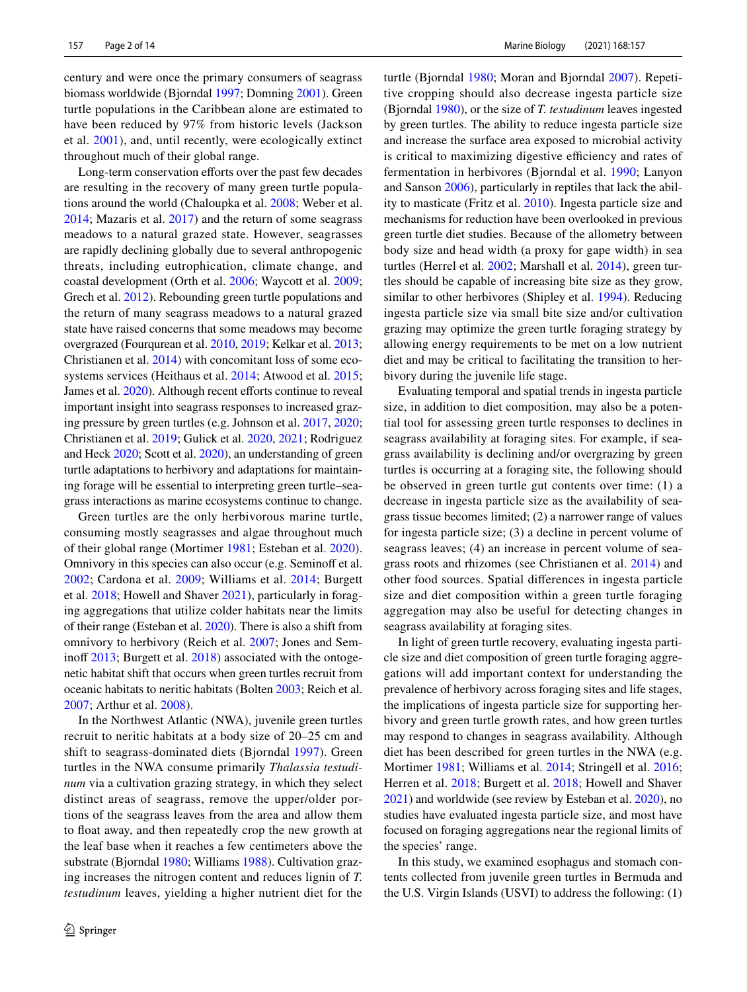century and were once the primary consumers of seagrass biomass worldwide (Bjorndal [1997;](#page-11-0) Domning [2001\)](#page-12-3). Green turtle populations in the Caribbean alone are estimated to have been reduced by 97% from historic levels (Jackson et al. [2001](#page-12-4)), and, until recently, were ecologically extinct throughout much of their global range.

Long-term conservation efforts over the past few decades are resulting in the recovery of many green turtle populations around the world (Chaloupka et al. [2008;](#page-11-1) Weber et al. [2014](#page-13-1); Mazaris et al. [2017\)](#page-12-2) and the return of some seagrass meadows to a natural grazed state. However, seagrasses are rapidly declining globally due to several anthropogenic threats, including eutrophication, climate change, and coastal development (Orth et al. [2006](#page-13-2); Waycott et al. [2009](#page-13-3); Grech et al. [2012\)](#page-12-5). Rebounding green turtle populations and the return of many seagrass meadows to a natural grazed state have raised concerns that some meadows may become overgrazed (Fourqurean et al. [2010,](#page-12-6) [2019;](#page-12-7) Kelkar et al. [2013](#page-12-8); Christianen et al. [2014\)](#page-11-2) with concomitant loss of some ecosystems services (Heithaus et al. [2014](#page-12-9); Atwood et al. [2015](#page-11-3); James et al. [2020\)](#page-12-10). Although recent efforts continue to reveal important insight into seagrass responses to increased grazing pressure by green turtles (e.g. Johnson et al. [2017,](#page-12-11) [2020](#page-12-12); Christianen et al. [2019](#page-11-4); Gulick et al. [2020](#page-12-13), [2021](#page-12-14); Rodriguez and Heck [2020](#page-13-4); Scott et al. [2020\)](#page-13-5), an understanding of green turtle adaptations to herbivory and adaptations for maintaining forage will be essential to interpreting green turtle–seagrass interactions as marine ecosystems continue to change.

Green turtles are the only herbivorous marine turtle, consuming mostly seagrasses and algae throughout much of their global range (Mortimer [1981;](#page-13-6) Esteban et al. [2020](#page-12-15)). Omnivory in this species can also occur (e.g. Seminoff et al. [2002;](#page-13-7) Cardona et al. [2009;](#page-11-5) Williams et al. [2014](#page-13-8); Burgett et al. [2018](#page-11-6); Howell and Shaver [2021](#page-12-16)), particularly in foraging aggregations that utilize colder habitats near the limits of their range (Esteban et al. [2020](#page-12-15)). There is also a shift from omnivory to herbivory (Reich et al. [2007](#page-13-9); Jones and Seminoff  $2013$ ; Burgett et al.  $2018$ ) associated with the ontogenetic habitat shift that occurs when green turtles recruit from oceanic habitats to neritic habitats (Bolten [2003](#page-11-7); Reich et al. [2007](#page-13-9); Arthur et al. [2008](#page-11-8)).

In the Northwest Atlantic (NWA), juvenile green turtles recruit to neritic habitats at a body size of 20–25 cm and shift to seagrass-dominated diets (Bjorndal [1997\)](#page-11-0). Green turtles in the NWA consume primarily *Thalassia testudinum* via a cultivation grazing strategy, in which they select distinct areas of seagrass, remove the upper/older portions of the seagrass leaves from the area and allow them to float away, and then repeatedly crop the new growth at the leaf base when it reaches a few centimeters above the substrate (Bjorndal [1980;](#page-11-9) Williams [1988](#page-13-11)). Cultivation grazing increases the nitrogen content and reduces lignin of *T. testudinum* leaves, yielding a higher nutrient diet for the turtle (Bjorndal [1980](#page-11-9); Moran and Bjorndal [2007\)](#page-12-17). Repetitive cropping should also decrease ingesta particle size (Bjorndal [1980\)](#page-11-9), or the size of *T. testudinum* leaves ingested by green turtles. The ability to reduce ingesta particle size and increase the surface area exposed to microbial activity is critical to maximizing digestive efficiency and rates of fermentation in herbivores (Bjorndal et al. [1990](#page-11-10); Lanyon and Sanson [2006\)](#page-12-18), particularly in reptiles that lack the ability to masticate (Fritz et al. [2010](#page-12-19)). Ingesta particle size and mechanisms for reduction have been overlooked in previous green turtle diet studies. Because of the allometry between body size and head width (a proxy for gape width) in sea turtles (Herrel et al. [2002](#page-12-20); Marshall et al. [2014](#page-12-21)), green turtles should be capable of increasing bite size as they grow, similar to other herbivores (Shipley et al. [1994\)](#page-13-12). Reducing ingesta particle size via small bite size and/or cultivation grazing may optimize the green turtle foraging strategy by allowing energy requirements to be met on a low nutrient diet and may be critical to facilitating the transition to herbivory during the juvenile life stage.

Evaluating temporal and spatial trends in ingesta particle size, in addition to diet composition, may also be a potential tool for assessing green turtle responses to declines in seagrass availability at foraging sites. For example, if seagrass availability is declining and/or overgrazing by green turtles is occurring at a foraging site, the following should be observed in green turtle gut contents over time: (1) a decrease in ingesta particle size as the availability of seagrass tissue becomes limited; (2) a narrower range of values for ingesta particle size; (3) a decline in percent volume of seagrass leaves; (4) an increase in percent volume of seagrass roots and rhizomes (see Christianen et al. [2014](#page-11-2)) and other food sources. Spatial diferences in ingesta particle size and diet composition within a green turtle foraging aggregation may also be useful for detecting changes in seagrass availability at foraging sites.

In light of green turtle recovery, evaluating ingesta particle size and diet composition of green turtle foraging aggregations will add important context for understanding the prevalence of herbivory across foraging sites and life stages, the implications of ingesta particle size for supporting herbivory and green turtle growth rates, and how green turtles may respond to changes in seagrass availability. Although diet has been described for green turtles in the NWA (e.g. Mortimer [1981;](#page-13-6) Williams et al. [2014;](#page-13-8) Stringell et al. [2016](#page-13-13); Herren et al. [2018](#page-12-22); Burgett et al. [2018;](#page-11-6) Howell and Shaver [2021](#page-12-16)) and worldwide (see review by Esteban et al. [2020](#page-12-15)), no studies have evaluated ingesta particle size, and most have focused on foraging aggregations near the regional limits of the species' range.

In this study, we examined esophagus and stomach contents collected from juvenile green turtles in Bermuda and the U.S. Virgin Islands (USVI) to address the following: (1)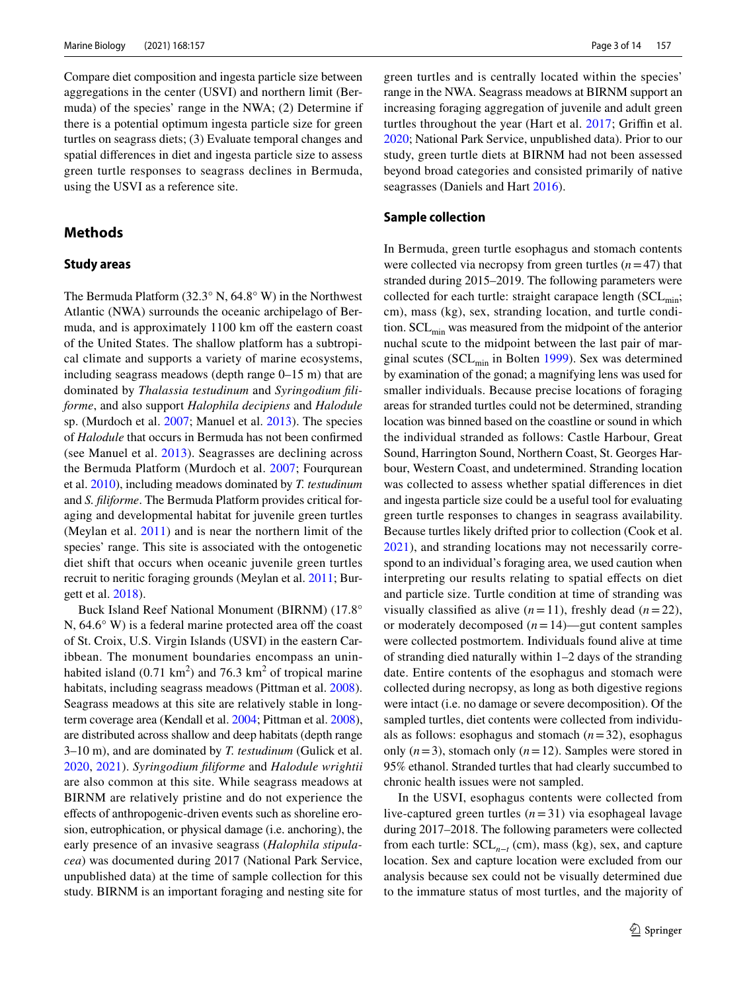Compare diet composition and ingesta particle size between aggregations in the center (USVI) and northern limit (Bermuda) of the species' range in the NWA; (2) Determine if there is a potential optimum ingesta particle size for green turtles on seagrass diets; (3) Evaluate temporal changes and spatial diferences in diet and ingesta particle size to assess green turtle responses to seagrass declines in Bermuda, using the USVI as a reference site.

# **Methods**

#### **Study areas**

The Bermuda Platform (32.3° N, 64.8° W) in the Northwest Atlantic (NWA) surrounds the oceanic archipelago of Bermuda, and is approximately 1100 km off the eastern coast of the United States. The shallow platform has a subtropical climate and supports a variety of marine ecosystems, including seagrass meadows (depth range 0–15 m) that are dominated by *Thalassia testudinum* and *Syringodium fliforme*, and also support *Halophila decipiens* and *Halodule* sp. (Murdoch et al. [2007;](#page-13-14) Manuel et al. [2013\)](#page-12-23). The species of *Halodule* that occurs in Bermuda has not been confrmed (see Manuel et al. [2013](#page-12-23)). Seagrasses are declining across the Bermuda Platform (Murdoch et al. [2007;](#page-13-14) Fourqurean et al. [2010](#page-12-6)), including meadows dominated by *T. testudinum* and *S. fliforme*. The Bermuda Platform provides critical foraging and developmental habitat for juvenile green turtles (Meylan et al. [2011\)](#page-12-24) and is near the northern limit of the species' range. This site is associated with the ontogenetic diet shift that occurs when oceanic juvenile green turtles recruit to neritic foraging grounds (Meylan et al. [2011](#page-12-24); Burgett et al. [2018\)](#page-11-6).

Buck Island Reef National Monument (BIRNM) (17.8° N,  $64.6^\circ$  W) is a federal marine protected area off the coast of St. Croix, U.S. Virgin Islands (USVI) in the eastern Caribbean. The monument boundaries encompass an uninhabited island  $(0.71 \text{ km}^2)$  and 76.3 km<sup>2</sup> of tropical marine habitats, including seagrass meadows (Pittman et al. [2008](#page-13-15)). Seagrass meadows at this site are relatively stable in longterm coverage area (Kendall et al. [2004;](#page-12-25) Pittman et al. [2008](#page-13-15)), are distributed across shallow and deep habitats (depth range 3–10 m), and are dominated by *T. testudinum* (Gulick et al. [2020](#page-12-13), [2021](#page-12-14)). *Syringodium fliforme* and *Halodule wrightii* are also common at this site. While seagrass meadows at BIRNM are relatively pristine and do not experience the efects of anthropogenic-driven events such as shoreline erosion, eutrophication, or physical damage (i.e. anchoring), the early presence of an invasive seagrass (*Halophila stipulacea*) was documented during 2017 (National Park Service, unpublished data) at the time of sample collection for this study. BIRNM is an important foraging and nesting site for

green turtles and is centrally located within the species' range in the NWA. Seagrass meadows at BIRNM support an increasing foraging aggregation of juvenile and adult green turtles throughout the year (Hart et al. [2017;](#page-12-26) Griffin et al. [2020](#page-12-27); National Park Service, unpublished data). Prior to our study, green turtle diets at BIRNM had not been assessed beyond broad categories and consisted primarily of native seagrasses (Daniels and Hart [2016](#page-12-28)).

#### **Sample collection**

In Bermuda, green turtle esophagus and stomach contents were collected via necropsy from green turtles  $(n=47)$  that stranded during 2015–2019. The following parameters were collected for each turtle: straight carapace length  $(SCL_{min};$ cm), mass (kg), sex, stranding location, and turtle condition.  $SCL_{min}$  was measured from the midpoint of the anterior nuchal scute to the midpoint between the last pair of marginal scutes ( $SCL_{min}$  in Bolten [1999\)](#page-11-11). Sex was determined by examination of the gonad; a magnifying lens was used for smaller individuals. Because precise locations of foraging areas for stranded turtles could not be determined, stranding location was binned based on the coastline or sound in which the individual stranded as follows: Castle Harbour, Great Sound, Harrington Sound, Northern Coast, St. Georges Harbour, Western Coast, and undetermined. Stranding location was collected to assess whether spatial diferences in diet and ingesta particle size could be a useful tool for evaluating green turtle responses to changes in seagrass availability. Because turtles likely drifted prior to collection (Cook et al. [2021\)](#page-12-29), and stranding locations may not necessarily correspond to an individual's foraging area, we used caution when interpreting our results relating to spatial effects on diet and particle size. Turtle condition at time of stranding was visually classified as alive  $(n=11)$ , freshly dead  $(n=22)$ , or moderately decomposed  $(n=14)$ —gut content samples were collected postmortem. Individuals found alive at time of stranding died naturally within 1–2 days of the stranding date. Entire contents of the esophagus and stomach were collected during necropsy, as long as both digestive regions were intact (i.e. no damage or severe decomposition). Of the sampled turtles, diet contents were collected from individuals as follows: esophagus and stomach (*n*=32), esophagus only  $(n=3)$ , stomach only  $(n=12)$ . Samples were stored in 95% ethanol. Stranded turtles that had clearly succumbed to chronic health issues were not sampled.

In the USVI, esophagus contents were collected from live-captured green turtles (*n*=31) via esophageal lavage during 2017–2018. The following parameters were collected from each turtle: SCL*<sup>n</sup>*−*<sup>t</sup>* (cm), mass (kg), sex, and capture location. Sex and capture location were excluded from our analysis because sex could not be visually determined due to the immature status of most turtles, and the majority of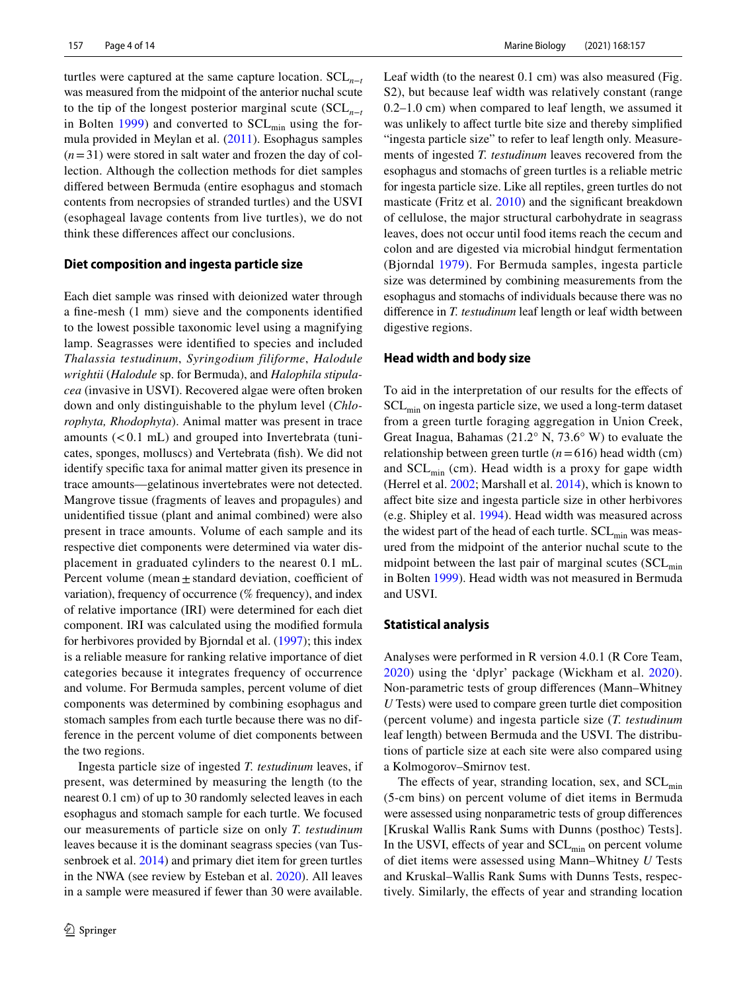turtles were captured at the same capture location. SCL*<sup>n</sup>*−*<sup>t</sup>* was measured from the midpoint of the anterior nuchal scute to the tip of the longest posterior marginal scute (SCL*<sup>n</sup>*−*<sup>t</sup>* in Bolten [1999](#page-11-11)) and converted to  $SCL_{min}$  using the formula provided in Meylan et al. [\(2011\)](#page-12-24). Esophagus samples  $(n=31)$  were stored in salt water and frozen the day of collection. Although the collection methods for diet samples difered between Bermuda (entire esophagus and stomach contents from necropsies of stranded turtles) and the USVI (esophageal lavage contents from live turtles), we do not think these diferences afect our conclusions.

#### **Diet composition and ingesta particle size**

Each diet sample was rinsed with deionized water through a fne-mesh (1 mm) sieve and the components identifed to the lowest possible taxonomic level using a magnifying lamp. Seagrasses were identifed to species and included *Thalassia testudinum*, *Syringodium filiforme*, *Halodule wrightii* (*Halodule* sp. for Bermuda), and *Halophila stipulacea* (invasive in USVI). Recovered algae were often broken down and only distinguishable to the phylum level (*Chlorophyta, Rhodophyta*). Animal matter was present in trace amounts  $(< 0.1$  mL) and grouped into Invertebrata (tunicates, sponges, molluscs) and Vertebrata (fsh). We did not identify specifc taxa for animal matter given its presence in trace amounts—gelatinous invertebrates were not detected. Mangrove tissue (fragments of leaves and propagules) and unidentifed tissue (plant and animal combined) were also present in trace amounts. Volume of each sample and its respective diet components were determined via water displacement in graduated cylinders to the nearest 0.1 mL. Percent volume (mean  $\pm$  standard deviation, coefficient of variation), frequency of occurrence (% frequency), and index of relative importance (IRI) were determined for each diet component. IRI was calculated using the modifed formula for herbivores provided by Bjorndal et al. ([1997\)](#page-11-12); this index is a reliable measure for ranking relative importance of diet categories because it integrates frequency of occurrence and volume. For Bermuda samples, percent volume of diet components was determined by combining esophagus and stomach samples from each turtle because there was no difference in the percent volume of diet components between the two regions.

Ingesta particle size of ingested *T. testudinum* leaves, if present, was determined by measuring the length (to the nearest 0.1 cm) of up to 30 randomly selected leaves in each esophagus and stomach sample for each turtle. We focused our measurements of particle size on only *T. testudinum* leaves because it is the dominant seagrass species (van Tus-senbroek et al. [2014](#page-11-13)) and primary diet item for green turtles in the NWA (see review by Esteban et al. [2020](#page-12-15)). All leaves in a sample were measured if fewer than 30 were available.

Leaf width (to the nearest 0.1 cm) was also measured (Fig. S2), but because leaf width was relatively constant (range 0.2–1.0 cm) when compared to leaf length, we assumed it was unlikely to affect turtle bite size and thereby simplified "ingesta particle size" to refer to leaf length only. Measurements of ingested *T. testudinum* leaves recovered from the esophagus and stomachs of green turtles is a reliable metric for ingesta particle size. Like all reptiles, green turtles do not masticate (Fritz et al. [2010\)](#page-12-19) and the signifcant breakdown of cellulose, the major structural carbohydrate in seagrass leaves, does not occur until food items reach the cecum and colon and are digested via microbial hindgut fermentation (Bjorndal [1979\)](#page-11-14). For Bermuda samples, ingesta particle size was determined by combining measurements from the esophagus and stomachs of individuals because there was no diference in *T. testudinum* leaf length or leaf width between digestive regions.

#### **Head width and body size**

To aid in the interpretation of our results for the efects of SCLmin on ingesta particle size, we used a long-term dataset from a green turtle foraging aggregation in Union Creek, Great Inagua, Bahamas (21.2° N, 73.6° W) to evaluate the relationship between green turtle  $(n=616)$  head width (cm) and  $SCL_{min}$  (cm). Head width is a proxy for gape width (Herrel et al. [2002](#page-12-20); Marshall et al. [2014](#page-12-21)), which is known to afect bite size and ingesta particle size in other herbivores (e.g. Shipley et al. [1994](#page-13-12)). Head width was measured across the widest part of the head of each turtle.  $SCL_{min}$  was measured from the midpoint of the anterior nuchal scute to the midpoint between the last pair of marginal scutes  $(SCL_{min})$ in Bolten [1999\)](#page-11-11). Head width was not measured in Bermuda and USVI.

#### **Statistical analysis**

Analyses were performed in R version 4.0.1 (R Core Team, [2020\)](#page-13-16) using the 'dplyr' package (Wickham et al. [2020](#page-13-17)). Non-parametric tests of group diferences (Mann–Whitney *U* Tests) were used to compare green turtle diet composition (percent volume) and ingesta particle size (*T. testudinum* leaf length) between Bermuda and the USVI. The distributions of particle size at each site were also compared using a Kolmogorov–Smirnov test.

The effects of year, stranding location, sex, and  $SCL_{min}$ (5-cm bins) on percent volume of diet items in Bermuda were assessed using nonparametric tests of group diferences [Kruskal Wallis Rank Sums with Dunns (posthoc) Tests]. In the USVI, effects of year and  $SCL_{min}$  on percent volume of diet items were assessed using Mann–Whitney *U* Tests and Kruskal–Wallis Rank Sums with Dunns Tests, respectively. Similarly, the efects of year and stranding location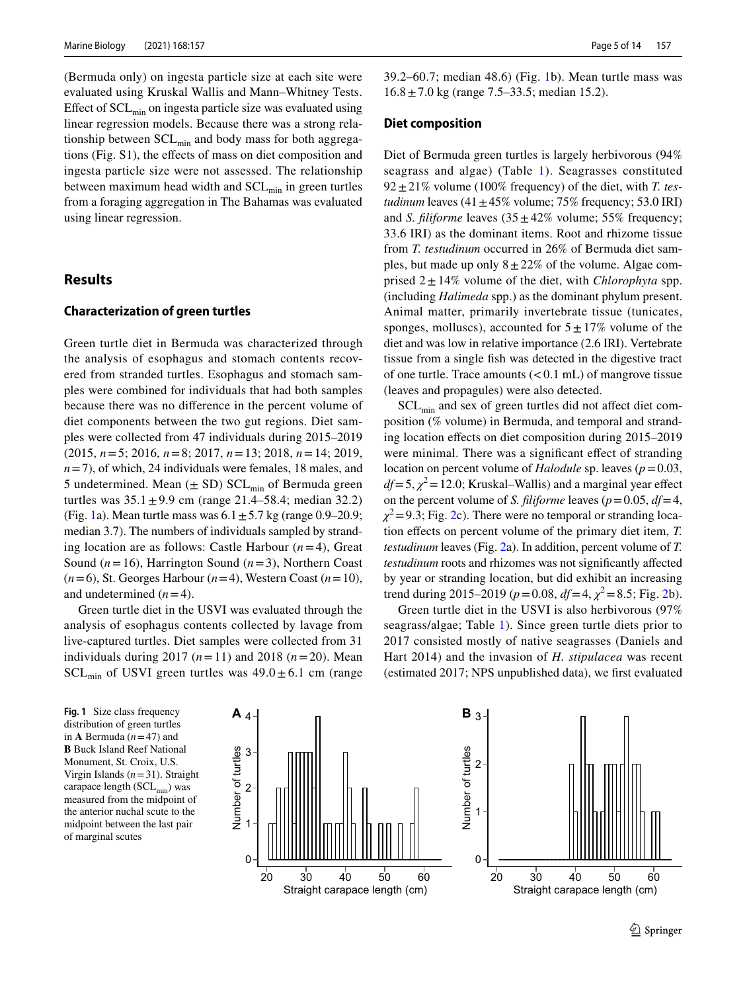(Bermuda only) on ingesta particle size at each site were evaluated using Kruskal Wallis and Mann–Whitney Tests. Effect of  $SCL_{min}$  on ingesta particle size was evaluated using linear regression models. Because there was a strong relationship between  $SCL_{min}$  and body mass for both aggregations (Fig. S1), the efects of mass on diet composition and ingesta particle size were not assessed. The relationship between maximum head width and  $SCL_{min}$  in green turtles from a foraging aggregation in The Bahamas was evaluated using linear regression.

# **Results**

#### **Characterization of green turtles**

Green turtle diet in Bermuda was characterized through the analysis of esophagus and stomach contents recovered from stranded turtles. Esophagus and stomach samples were combined for individuals that had both samples because there was no diference in the percent volume of diet components between the two gut regions. Diet samples were collected from 47 individuals during 2015–2019 (2015, *n*=5; 2016, *n*=8; 2017, *n*=13; 2018, *n*=14; 2019, *n*=7), of which, 24 individuals were females, 18 males, and 5 undetermined. Mean  $(\pm SD)$  SCL<sub>min</sub> of Bermuda green turtles was  $35.1 \pm 9.9$  cm (range 21.4–58.4; median 32.2) (Fig. [1a](#page-4-0)). Mean turtle mass was  $6.1 \pm 5.7$  kg (range 0.9–20.9; median 3.7). The numbers of individuals sampled by stranding location are as follows: Castle Harbour (*n*=4), Great Sound (*n*=16), Harrington Sound (*n*=3), Northern Coast (*n*=6), St. Georges Harbour (*n*=4), Western Coast (*n*=10), and undetermined  $(n=4)$ .

Green turtle diet in the USVI was evaluated through the analysis of esophagus contents collected by lavage from live-captured turtles. Diet samples were collected from 31 individuals during 2017 (*n*=11) and 2018 (*n*=20). Mean  $SCL_{min}$  of USVI green turtles was  $49.0 \pm 6.1$  cm (range

39.2–60.7; median 48.6) (Fig. [1](#page-4-0)b). Mean turtle mass was  $16.8 \pm 7.0$  kg (range 7.5–33.5; median 15.2).

#### **Diet composition**

Diet of Bermuda green turtles is largely herbivorous (94% seagrass and algae) (Table [1\)](#page-5-0). Seagrasses constituted  $92 \pm 21\%$  volume (100% frequency) of the diet, with *T. testudinum* leaves  $(41 \pm 45\%$  volume; 75% frequency; 53.0 IRI) and *S. filiforme* leaves  $(35 \pm 42\% \text{ volume}; 55\% \text{ frequency};$ 33.6 IRI) as the dominant items. Root and rhizome tissue from *T. testudinum* occurred in 26% of Bermuda diet samples, but made up only  $8 \pm 22\%$  of the volume. Algae comprised  $2 \pm 14\%$  volume of the diet, with *Chlorophyta* spp. (including *Halimeda* spp.) as the dominant phylum present. Animal matter, primarily invertebrate tissue (tunicates, sponges, molluscs), accounted for  $5 \pm 17\%$  volume of the diet and was low in relative importance (2.6 IRI). Vertebrate tissue from a single fsh was detected in the digestive tract of one turtle. Trace amounts  $(< 0.1$  mL) of mangrove tissue (leaves and propagules) were also detected.

 $SCL_{\text{min}}$  and sex of green turtles did not affect diet composition (% volume) in Bermuda, and temporal and stranding location efects on diet composition during 2015–2019 were minimal. There was a significant effect of stranding location on percent volume of *Halodule* sp. leaves (*p*=0.03,  $df = 5$ ,  $\chi^2 = 12.0$ ; Kruskal–Wallis) and a marginal year effect on the percent volume of *S. filiforme* leaves ( $p = 0.05$ ,  $df = 4$ ,  $\chi^2$  = 9.3; Fig. [2](#page-6-0)c). There were no temporal or stranding location efects on percent volume of the primary diet item, *T. testudinum* leaves (Fig. [2a](#page-6-0)). In addition, percent volume of *T. testudinum* roots and rhizomes was not significantly affected by year or stranding location, but did exhibit an increasing trend during [2](#page-6-0)015–2019 ( $p = 0.08$ ,  $df = 4$ ,  $\chi^2 = 8.5$ ; Fig. 2b).

Green turtle diet in the USVI is also herbivorous (97% seagrass/algae; Table [1](#page-5-0)). Since green turtle diets prior to 2017 consisted mostly of native seagrasses (Daniels and Hart 2014) and the invasion of *H. stipulacea* was recent (estimated 2017; NPS unpublished data), we frst evaluated

<span id="page-4-0"></span>**Fig. 1** Size class frequency distribution of green turtles in **A** Bermuda (*n*=47) and **B** Buck Island Reef National Monument, St. Croix, U.S. Virgin Islands (*n*=31). Straight carapace length (SCL<sub>min</sub>) was measured from the midpoint of the anterior nuchal scute to the midpoint between the last pair of marginal scutes

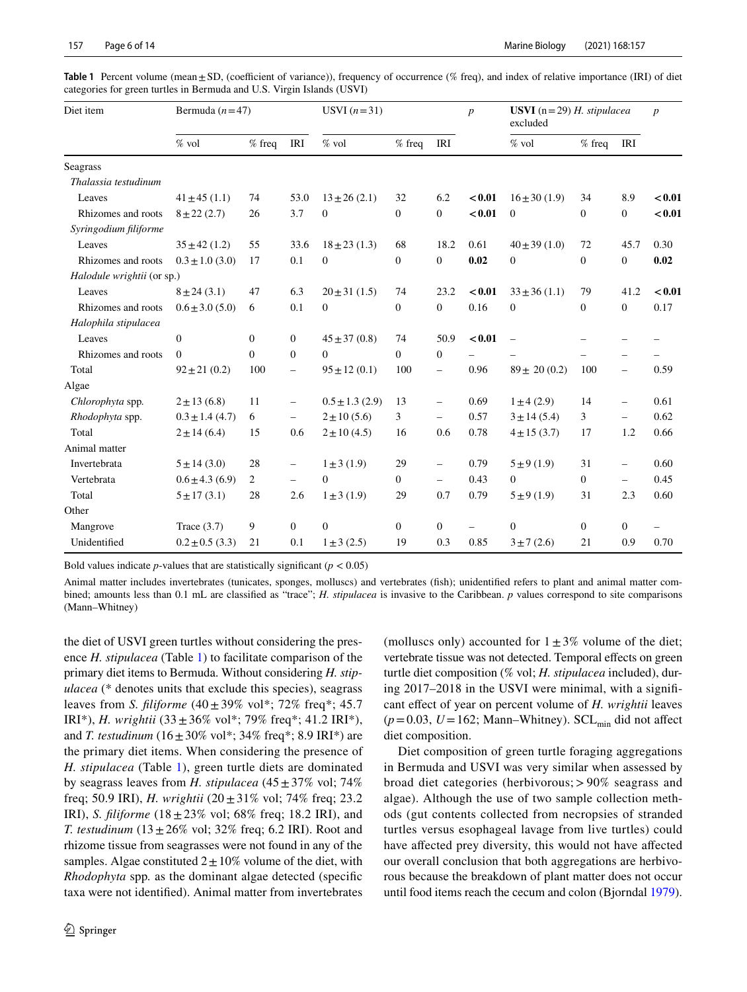| Diet item                  | Bermuda $(n=47)$    |              |                          | USVI $(n=31)$       |                  |                          | $\boldsymbol{p}$         | <b>USVI</b> ( $n = 29$ ) H. stipulacea<br>excluded |                |                          | $\boldsymbol{p}$ |
|----------------------------|---------------------|--------------|--------------------------|---------------------|------------------|--------------------------|--------------------------|----------------------------------------------------|----------------|--------------------------|------------------|
|                            | $\%$ vol            | $%$ freq     | IRI                      | $%$ vol             | $%$ freq         | IRI                      |                          | $%$ vol                                            | $%$ freq       | IRI                      |                  |
| Seagrass                   |                     |              |                          |                     |                  |                          |                          |                                                    |                |                          |                  |
| Thalassia testudinum       |                     |              |                          |                     |                  |                          |                          |                                                    |                |                          |                  |
| Leaves                     | $41 \pm 45$ (1.1)   | 74           | 53.0                     | $13 \pm 26$ (2.1)   | 32               | 6.2                      | < 0.01                   | $16 \pm 30$ (1.9)                                  | 34             | 8.9                      | < 0.01           |
| Rhizomes and roots         | $8 + 22(2.7)$       | 26           | 3.7                      | $\overline{0}$      | $\boldsymbol{0}$ | $\overline{0}$           | < 0.01                   | $\mathbf{0}$                                       | $\overline{0}$ | $\boldsymbol{0}$         | < 0.01           |
| Syringodium filiforme      |                     |              |                          |                     |                  |                          |                          |                                                    |                |                          |                  |
| Leaves                     | $35 \pm 42$ (1.2)   | 55           | 33.6                     | $18 \pm 23$ (1.3)   | 68               | 18.2                     | 0.61                     | $40 \pm 39$ (1.0)                                  | 72             | 45.7                     | 0.30             |
| Rhizomes and roots         | $0.3 \pm 1.0$ (3.0) | 17           | 0.1                      | $\mathbf{0}$        | $\boldsymbol{0}$ | $\overline{0}$           | 0.02                     | $\overline{0}$                                     | $\overline{0}$ | $\mathbf{0}$             | 0.02             |
| Halodule wrightii (or sp.) |                     |              |                          |                     |                  |                          |                          |                                                    |                |                          |                  |
| Leaves                     | $8 \pm 24$ (3.1)    | 47           | 6.3                      | $20 \pm 31$ (1.5)   | 74               | 23.2                     | < 0.01                   | $33 \pm 36$ (1.1)                                  | 79             | 41.2                     | < 0.01           |
| Rhizomes and roots         | $0.6 \pm 3.0$ (5.0) | 6            | 0.1                      | $\theta$            | $\boldsymbol{0}$ | $\overline{0}$           | 0.16                     | $\overline{0}$                                     | $\Omega$       | $\overline{0}$           | 0.17             |
| Halophila stipulacea       |                     |              |                          |                     |                  |                          |                          |                                                    |                |                          |                  |
| Leaves                     | $\mathbf{0}$        | $\mathbf{0}$ | $\mathbf{0}$             | $45 \pm 37(0.8)$    | 74               | 50.9                     | < 0.01                   | $\overline{\phantom{0}}$                           |                |                          |                  |
| Rhizomes and roots         | $\theta$            | $\Omega$     | $\overline{0}$           | $\Omega$            | $\mathbf{0}$     | $\boldsymbol{0}$         |                          |                                                    |                | $\overline{\phantom{0}}$ |                  |
| Total                      | $92 \pm 21(0.2)$    | 100          | $\overline{\phantom{m}}$ | $95 \pm 12(0.1)$    | 100              | $\overline{\phantom{0}}$ | 0.96                     | $89 \pm 20(0.2)$                                   | 100            | $\overline{\phantom{0}}$ | 0.59             |
| Algae                      |                     |              |                          |                     |                  |                          |                          |                                                    |                |                          |                  |
| Chlorophyta spp.           | $2 \pm 13(6.8)$     | 11           |                          | $0.5 \pm 1.3$ (2.9) | 13               | $\overline{\phantom{0}}$ | 0.69                     | $1 \pm 4$ (2.9)                                    | 14             | $\qquad \qquad -$        | 0.61             |
| Rhodophyta spp.            | $0.3 \pm 1.4$ (4.7) | 6            | $\overline{\phantom{m}}$ | $2 \pm 10 (5.6)$    | 3                | $\overline{\phantom{0}}$ | 0.57                     | $3 \pm 14$ (5.4)                                   | 3              | $\overline{\phantom{0}}$ | 0.62             |
| Total                      | $2 \pm 14$ (6.4)    | 15           | 0.6                      | $2 \pm 10(4.5)$     | 16               | 0.6                      | 0.78                     | $4 \pm 15$ (3.7)                                   | 17             | 1.2                      | 0.66             |
| Animal matter              |                     |              |                          |                     |                  |                          |                          |                                                    |                |                          |                  |
| Invertebrata               | $5 \pm 14$ (3.0)    | 28           | $\overline{\phantom{m}}$ | $1 \pm 3$ (1.9)     | 29               | $\overline{\phantom{0}}$ | 0.79                     | $5 \pm 9(1.9)$                                     | 31             | $\qquad \qquad -$        | 0.60             |
| Vertebrata                 | $0.6 \pm 4.3$ (6.9) | 2            | $\equiv$                 | $\theta$            | $\mathbf{0}$     | $\overline{\phantom{0}}$ | 0.43                     | $\overline{0}$                                     | $\overline{0}$ | $\qquad \qquad -$        | 0.45             |
| Total                      | $5 \pm 17(3.1)$     | 28           | 2.6                      | $1 \pm 3$ (1.9)     | 29               | 0.7                      | 0.79                     | $5 \pm 9(1.9)$                                     | 31             | 2.3                      | 0.60             |
| Other                      |                     |              |                          |                     |                  |                          |                          |                                                    |                |                          |                  |
| Mangrove                   | Trace $(3.7)$       | 9            | $\overline{0}$           | $\mathbf{0}$        | $\boldsymbol{0}$ | $\overline{0}$           | $\overline{\phantom{0}}$ | $\mathbf{0}$                                       | $\overline{0}$ | $\mathbf{0}$             |                  |
| Unidentified               | $0.2 \pm 0.5$ (3.3) | 21           | 0.1                      | $1 \pm 3$ (2.5)     | 19               | 0.3                      | 0.85                     | $3 \pm 7(2.6)$                                     | 21             | 0.9                      | 0.70             |

<span id="page-5-0"></span>**Table 1** Percent volume (mean  $\pm$  SD, (coefficient of variance)), frequency of occurrence (% freq), and index of relative importance (IRI) of diet categories for green turtles in Bermuda and U.S. Virgin Islands (USVI)

Bold values indicate  $p$ -values that are statistically significant ( $p < 0.05$ )

Animal matter includes invertebrates (tunicates, sponges, molluscs) and vertebrates (fsh); unidentifed refers to plant and animal matter combined; amounts less than 0.1 mL are classifed as "trace"; *H. stipulacea* is invasive to the Caribbean. *p* values correspond to site comparisons (Mann–Whitney)

the diet of USVI green turtles without considering the presence *H. stipulacea* (Table [1\)](#page-5-0) to facilitate comparison of the primary diet items to Bermuda. Without considering *H. stipulacea* (\* denotes units that exclude this species), seagrass leaves from *S. fliforme* (40±39% vol\*; 72% freq\*; 45.7 IRI\*), *H. wrightii*  $(33 \pm 36\% \text{ vol}^*; 79\% \text{ freq}^*; 41.2 \text{ IRI}^*),$ and *T. testudinum*  $(16 \pm 30\% \text{ vol}^*; 34\% \text{ freq}^*; 8.9 \text{ IRI}^*)$  are the primary diet items. When considering the presence of *H. stipulacea* (Table [1](#page-5-0)), green turtle diets are dominated by seagrass leaves from *H. stipulacea*  $(45 \pm 37\% \text{ vol}; 74\%$ freq; 50.9 IRI), *H. wrightii* (20±31% vol; 74% freq; 23.2 IRI), *S. fliforme* (18±23% vol; 68% freq; 18.2 IRI), and *T. testudinum*  $(13 \pm 26\% \text{ vol}; 32\% \text{ freq}; 6.2 \text{ IRI})$ . Root and rhizome tissue from seagrasses were not found in any of the samples. Algae constituted  $2 \pm 10\%$  volume of the diet, with *Rhodophyta* spp*.* as the dominant algae detected (specifc taxa were not identifed). Animal matter from invertebrates

(molluscs only) accounted for  $1\pm3\%$  volume of the diet; vertebrate tissue was not detected. Temporal efects on green turtle diet composition (% vol; *H. stipulacea* included), during 2017–2018 in the USVI were minimal, with a signifcant efect of year on percent volume of *H. wrightii* leaves  $(p=0.03, U=162;$  Mann–Whitney). SCL<sub>min</sub> did not affect diet composition.

Diet composition of green turtle foraging aggregations in Bermuda and USVI was very similar when assessed by broad diet categories (herbivorous; > 90% seagrass and algae). Although the use of two sample collection methods (gut contents collected from necropsies of stranded turtles versus esophageal lavage from live turtles) could have afected prey diversity, this would not have afected our overall conclusion that both aggregations are herbivorous because the breakdown of plant matter does not occur until food items reach the cecum and colon (Bjorndal [1979](#page-11-14)).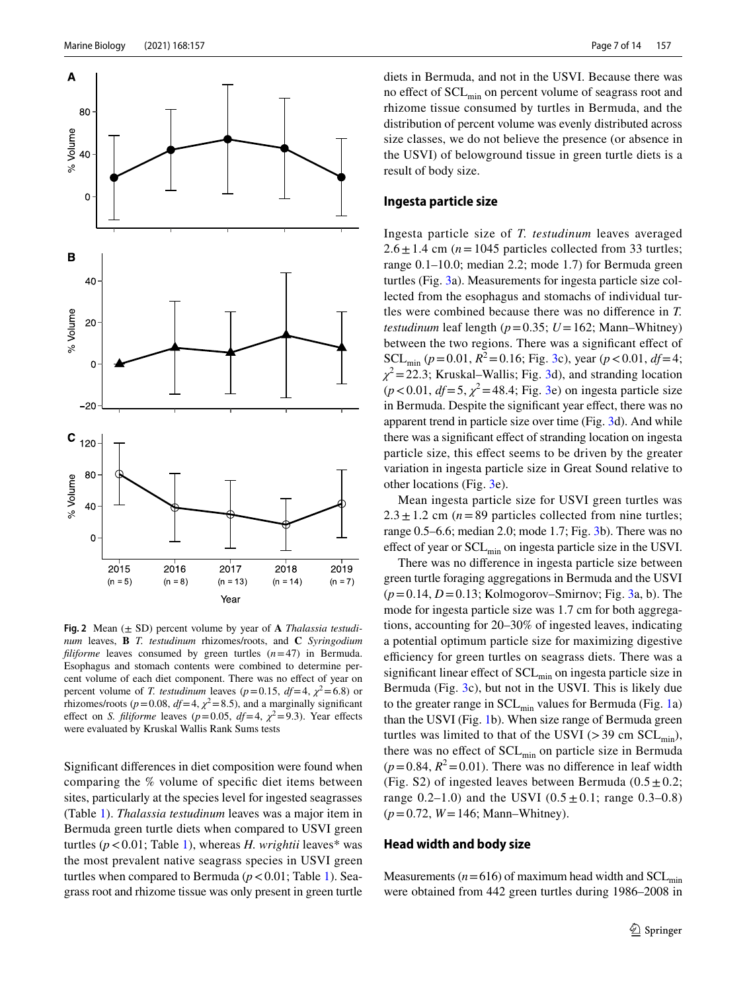

<span id="page-6-0"></span>**Fig. 2** Mean (± SD) percent volume by year of **A** *Thalassia testudinum* leaves, **B** *T. testudinum* rhizomes/roots, and **C** *Syringodium fliforme* leaves consumed by green turtles (*n*=47) in Bermuda. Esophagus and stomach contents were combined to determine percent volume of each diet component. There was no efect of year on percent volume of *T. testudinum* leaves ( $p=0.15$ ,  $df=4$ ,  $\chi^2=6.8$ ) or rhizomes/roots ( $p = 0.08$ ,  $df = 4$ ,  $\chi^2 = 8.5$ ), and a marginally significant effect on *S. filiforme* leaves ( $p=0.05$ ,  $df=4$ ,  $\chi^2=9.3$ ). Year effects were evaluated by Kruskal Wallis Rank Sums tests

Signifcant diferences in diet composition were found when comparing the % volume of specifc diet items between sites, particularly at the species level for ingested seagrasses (Table [1\)](#page-5-0). *Thalassia testudinum* leaves was a major item in Bermuda green turtle diets when compared to USVI green turtles (*p*<0.01; Table [1](#page-5-0)), whereas *H. wrightii* leaves\* was the most prevalent native seagrass species in USVI green turtles when compared to Bermuda  $(p < 0.01$ ; Table [1](#page-5-0)). Seagrass root and rhizome tissue was only present in green turtle

diets in Bermuda, and not in the USVI. Because there was no effect of SCL<sub>min</sub> on percent volume of seagrass root and rhizome tissue consumed by turtles in Bermuda, and the distribution of percent volume was evenly distributed across size classes, we do not believe the presence (or absence in the USVI) of belowground tissue in green turtle diets is a result of body size.

#### **Ingesta particle size**

Ingesta particle size of *T. testudinum* leaves averaged  $2.6 \pm 1.4$  cm ( $n = 1045$  particles collected from 33 turtles; range 0.1–10.0; median 2.2; mode 1.7) for Bermuda green turtles (Fig. [3](#page-7-0)a). Measurements for ingesta particle size collected from the esophagus and stomachs of individual turtles were combined because there was no diference in *T. testudinum* leaf length ( $p = 0.35$ ;  $U = 162$ ; Mann–Whitney) between the two regions. There was a signifcant efect of  $SCL_{min}$  ( $p = 0.01$ ,  $R^2 = 0.16$ ; Fig. [3](#page-7-0)c), year ( $p < 0.01$ ,  $df = 4$ ;  $\chi^2$  = 22.3; Kruskal–Wallis; Fig. [3d](#page-7-0)), and stranding location  $(p<0.01, df=5, \chi^2=48.4;$  Fig. [3](#page-7-0)e) on ingesta particle size in Bermuda. Despite the signifcant year efect, there was no apparent trend in particle size over time (Fig. [3d](#page-7-0)). And while there was a significant effect of stranding location on ingesta particle size, this efect seems to be driven by the greater variation in ingesta particle size in Great Sound relative to other locations (Fig. [3](#page-7-0)e).

Mean ingesta particle size for USVI green turtles was  $2.3 \pm 1.2$  cm ( $n = 89$  particles collected from nine turtles; range 0.5–6.6; median 2.0; mode 1.7; Fig. [3b](#page-7-0)). There was no effect of year or  $SCL_{\text{min}}$  on ingesta particle size in the USVI.

There was no diference in ingesta particle size between green turtle foraging aggregations in Bermuda and the USVI  $(p=0.14, D=0.13;$  Kolmogorov–Smirnov; Fig. [3a](#page-7-0), b). The mode for ingesta particle size was 1.7 cm for both aggregations, accounting for 20–30% of ingested leaves, indicating a potential optimum particle size for maximizing digestive efficiency for green turtles on seagrass diets. There was a significant linear effect of  $SCL_{\min}$  on ingesta particle size in Bermuda (Fig. [3c](#page-7-0)), but not in the USVI. This is likely due to the greater range in  $SCL_{min}$  values for Bermuda (Fig. [1](#page-4-0)a) than the USVI (Fig. [1b](#page-4-0)). When size range of Bermuda green turtles was limited to that of the USVI ( $>$  39 cm SCL<sub>min</sub>), there was no effect of  $SCL_{min}$  on particle size in Bermuda  $(p=0.84, R^2=0.01)$ . There was no difference in leaf width (Fig. S2) of ingested leaves between Bermuda ( $0.5 \pm 0.2$ ; range  $0.2-1.0$ ) and the USVI  $(0.5 \pm 0.1)$ ; range  $0.3-0.8$ ) (*p*=0.72, *W*=146; Mann–Whitney).

#### **Head width and body size**

Measurements ( $n=616$ ) of maximum head width and SCL<sub>min</sub> were obtained from 442 green turtles during 1986–2008 in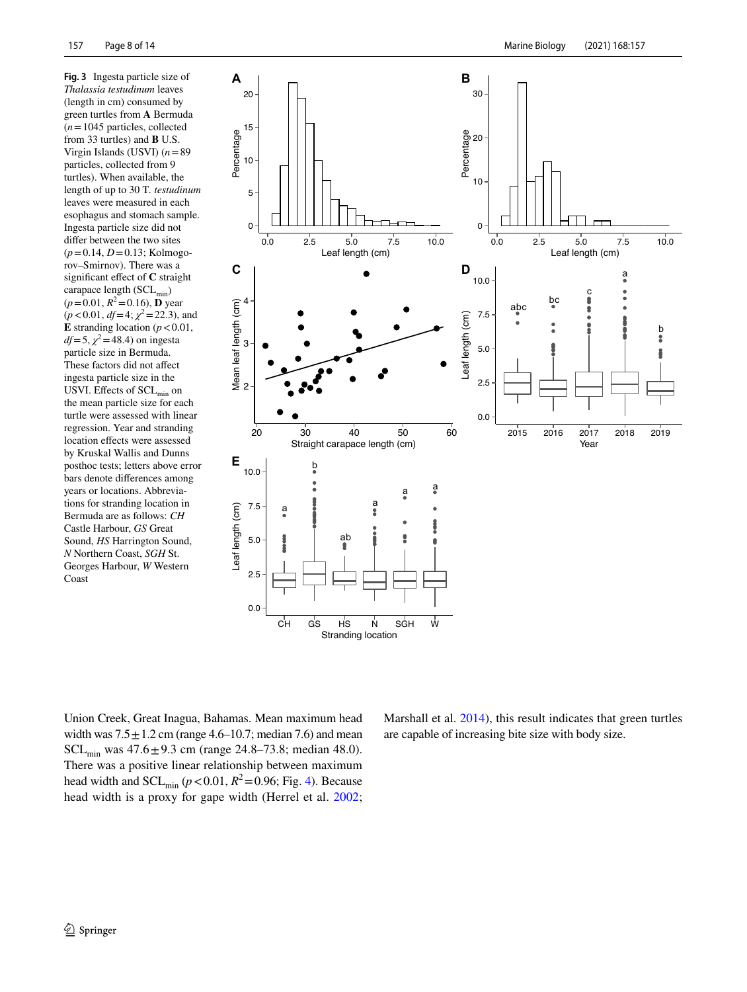<span id="page-7-0"></span>**Fig. 3** Ingesta particle size of *Thalassia testudinum* leaves (length in cm) consumed by green turtles from **A** Bermuda (*n*=1045 particles, collected from 33 turtles) and **B** U.S. Virgin Islands (USVI) (*n*=89 particles, collected from 9 turtles). When available, the length of up to 30 T*. testudinum* leaves were measured in each esophagus and stomach sample. Ingesta particle size did not difer between the two sites (*p*=0.14, *D*=0.13; Kolmogorov–Smirnov). There was a signifcant efect of **C** straight carapace length  $(SCL_{min})$  $(p=0.01, R^2=0.16)$ , **D** year  $(p<0.01, df=4; \chi^2=22.3)$ , and **E** stranding location ( $p < 0.01$ ,  $df=5$ ,  $\chi^2$  = 48.4) on ingesta particle size in Bermuda. These factors did not afect ingesta particle size in the USVI. Effects of SCL<sub>min</sub> on the mean particle size for each turtle were assessed with linear regression. Year and stranding location efects were assessed by Kruskal Wallis and Dunns posthoc tests; letters above error bars denote diferences among years or locations. Abbreviations for stranding location in Bermuda are as follows: *CH* Castle Harbour, *GS* Great Sound, *HS* Harrington Sound, *N* Northern Coast, *SGH* St. Georges Harbour, *W* Western Coast



Union Creek, Great Inagua, Bahamas. Mean maximum head width was  $7.5 \pm 1.2$  cm (range 4.6–10.7; median 7.6) and mean SCL<sub>min</sub> was  $47.6 \pm 9.3$  cm (range 24.8–73.8; median 48.0). There was a positive linear relationship between maximum head width and  $SCL_{\text{min}} (p < 0.01, R^2 = 0.96;$  Fig. [4](#page-8-0)). Because head width is a proxy for gape width (Herrel et al. [2002](#page-12-20);

Marshall et al. [2014\)](#page-12-21), this result indicates that green turtles are capable of increasing bite size with body size.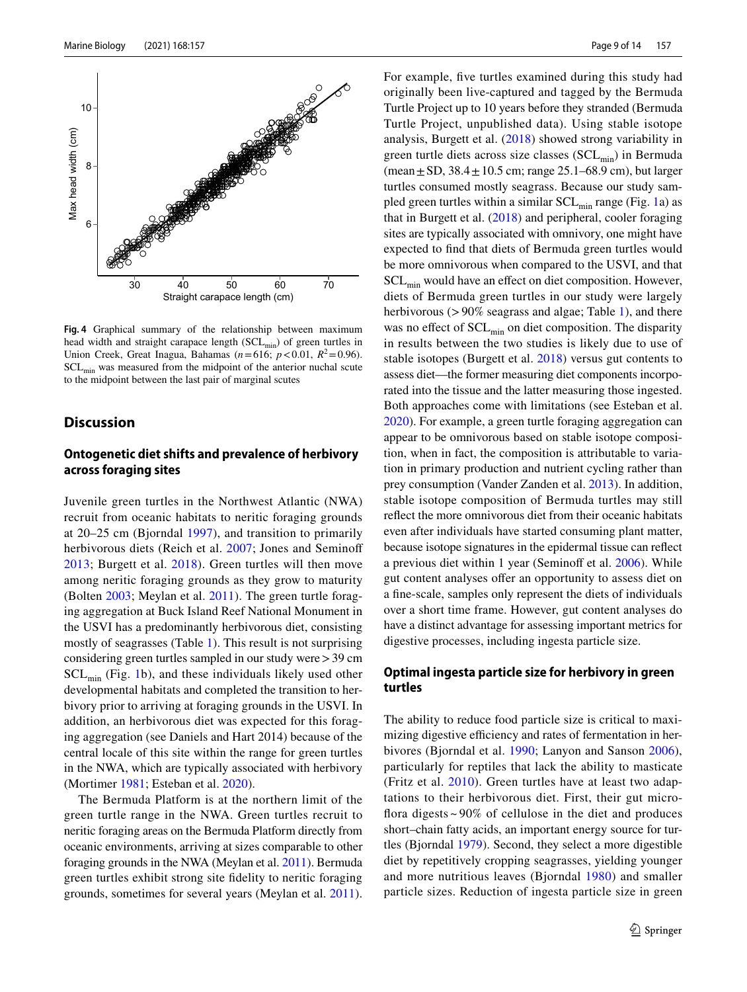

<span id="page-8-0"></span>**Fig. 4** Graphical summary of the relationship between maximum head width and straight carapace length  $(SCL_{min})$  of green turtles in Union Creek, Great Inagua, Bahamas ( $n=616$ ;  $p < 0.01$ ,  $R^2 = 0.96$ ).  $SCL_{\text{min}}$  was measured from the midpoint of the anterior nuchal scute to the midpoint between the last pair of marginal scutes

# **Discussion**

## **Ontogenetic diet shifts and prevalence of herbivory across foraging sites**

Juvenile green turtles in the Northwest Atlantic (NWA) recruit from oceanic habitats to neritic foraging grounds at 20–25 cm (Bjorndal [1997\)](#page-11-0), and transition to primarily herbivorous diets (Reich et al. [2007](#page-13-9); Jones and Seminoff [2013;](#page-13-10) Burgett et al. [2018\)](#page-11-6). Green turtles will then move among neritic foraging grounds as they grow to maturity (Bolten [2003;](#page-11-7) Meylan et al. [2011](#page-12-24)). The green turtle foraging aggregation at Buck Island Reef National Monument in the USVI has a predominantly herbivorous diet, consisting mostly of seagrasses (Table [1\)](#page-5-0). This result is not surprising considering green turtles sampled in our study were>39 cm  $SCL_{\text{min}}$  (Fig. [1b](#page-4-0)), and these individuals likely used other developmental habitats and completed the transition to herbivory prior to arriving at foraging grounds in the USVI. In addition, an herbivorous diet was expected for this foraging aggregation (see Daniels and Hart 2014) because of the central locale of this site within the range for green turtles in the NWA, which are typically associated with herbivory (Mortimer [1981;](#page-13-6) Esteban et al. [2020\)](#page-12-15).

The Bermuda Platform is at the northern limit of the green turtle range in the NWA. Green turtles recruit to neritic foraging areas on the Bermuda Platform directly from oceanic environments, arriving at sizes comparable to other foraging grounds in the NWA (Meylan et al. [2011\)](#page-12-24). Bermuda green turtles exhibit strong site fdelity to neritic foraging grounds, sometimes for several years (Meylan et al. [2011](#page-12-24)).

For example, fve turtles examined during this study had originally been live-captured and tagged by the Bermuda Turtle Project up to 10 years before they stranded (Bermuda Turtle Project, unpublished data). Using stable isotope analysis, Burgett et al. [\(2018\)](#page-11-6) showed strong variability in green turtle diets across size classes  $(SCL_{min})$  in Bermuda (mean  $\pm$  SD, 38.4  $\pm$  10.5 cm; range 25.1–68.9 cm), but larger turtles consumed mostly seagrass. Because our study sampled green turtles within a similar  $SCL_{min}$  range (Fig. [1a](#page-4-0)) as that in Burgett et al. ([2018\)](#page-11-6) and peripheral, cooler foraging sites are typically associated with omnivory, one might have expected to fnd that diets of Bermuda green turtles would be more omnivorous when compared to the USVI, and that SCL<sub>min</sub> would have an effect on diet composition. However, diets of Bermuda green turtles in our study were largely herbivorous (>90% seagrass and algae; Table [1](#page-5-0)), and there was no effect of  $SCL_{min}$  on diet composition. The disparity in results between the two studies is likely due to use of stable isotopes (Burgett et al. [2018\)](#page-11-6) versus gut contents to assess diet—the former measuring diet components incorporated into the tissue and the latter measuring those ingested. Both approaches come with limitations (see Esteban et al. [2020](#page-12-15)). For example, a green turtle foraging aggregation can appear to be omnivorous based on stable isotope composition, when in fact, the composition is attributable to variation in primary production and nutrient cycling rather than prey consumption (Vander Zanden et al. [2013\)](#page-13-18). In addition, stable isotope composition of Bermuda turtles may still refect the more omnivorous diet from their oceanic habitats even after individuals have started consuming plant matter, because isotope signatures in the epidermal tissue can refect a previous diet within 1 year (Seminoff et al. [2006\)](#page-13-19). While gut content analyses offer an opportunity to assess diet on a fne-scale, samples only represent the diets of individuals over a short time frame. However, gut content analyses do have a distinct advantage for assessing important metrics for digestive processes, including ingesta particle size.

### **Optimal ingesta particle size for herbivory in green turtles**

The ability to reduce food particle size is critical to maximizing digestive efficiency and rates of fermentation in herbivores (Bjorndal et al. [1990;](#page-11-10) Lanyon and Sanson [2006](#page-12-18)), particularly for reptiles that lack the ability to masticate (Fritz et al. [2010](#page-12-19)). Green turtles have at least two adaptations to their herbivorous diet. First, their gut microfora digests ~ 90% of cellulose in the diet and produces short–chain fatty acids, an important energy source for turtles (Bjorndal [1979\)](#page-11-14). Second, they select a more digestible diet by repetitively cropping seagrasses, yielding younger and more nutritious leaves (Bjorndal [1980\)](#page-11-9) and smaller particle sizes. Reduction of ingesta particle size in green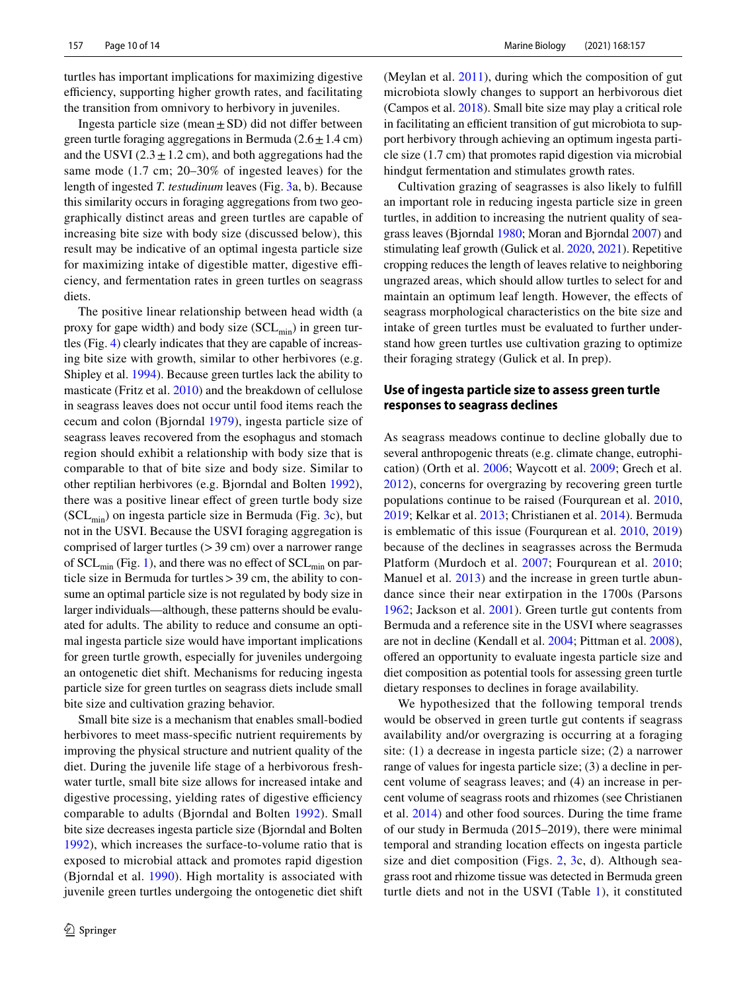turtles has important implications for maximizing digestive efficiency, supporting higher growth rates, and facilitating the transition from omnivory to herbivory in juveniles.

Ingesta particle size (mean $\pm$ SD) did not differ between green turtle foraging aggregations in Bermuda  $(2.6 \pm 1.4 \text{ cm})$ and the USVI  $(2.3 \pm 1.2 \text{ cm})$ , and both aggregations had the same mode (1.7 cm; 20–30% of ingested leaves) for the length of ingested *T. testudinum* leaves (Fig. [3](#page-7-0)a, b). Because this similarity occurs in foraging aggregations from two geographically distinct areas and green turtles are capable of increasing bite size with body size (discussed below), this result may be indicative of an optimal ingesta particle size for maximizing intake of digestible matter, digestive efficiency, and fermentation rates in green turtles on seagrass diets.

The positive linear relationship between head width (a proxy for gape width) and body size  $(SCL_{min})$  in green turtles (Fig. [4\)](#page-8-0) clearly indicates that they are capable of increasing bite size with growth, similar to other herbivores (e.g. Shipley et al. [1994\)](#page-13-12). Because green turtles lack the ability to masticate (Fritz et al. [2010](#page-12-19)) and the breakdown of cellulose in seagrass leaves does not occur until food items reach the cecum and colon (Bjorndal [1979\)](#page-11-14), ingesta particle size of seagrass leaves recovered from the esophagus and stomach region should exhibit a relationship with body size that is comparable to that of bite size and body size. Similar to other reptilian herbivores (e.g. Bjorndal and Bolten [1992](#page-11-15)), there was a positive linear efect of green turtle body size  $(SCL_{\text{min}})$  on ingesta particle size in Bermuda (Fig. [3](#page-7-0)c), but not in the USVI. Because the USVI foraging aggregation is comprised of larger turtles (>39 cm) over a narrower range of  $SCL_{\text{min}}$  (Fig. [1\)](#page-4-0), and there was no effect of  $SCL_{\text{min}}$  on particle size in Bermuda for turtles>39 cm, the ability to consume an optimal particle size is not regulated by body size in larger individuals—although, these patterns should be evaluated for adults. The ability to reduce and consume an optimal ingesta particle size would have important implications for green turtle growth, especially for juveniles undergoing an ontogenetic diet shift. Mechanisms for reducing ingesta particle size for green turtles on seagrass diets include small bite size and cultivation grazing behavior.

Small bite size is a mechanism that enables small-bodied herbivores to meet mass-specifc nutrient requirements by improving the physical structure and nutrient quality of the diet. During the juvenile life stage of a herbivorous freshwater turtle, small bite size allows for increased intake and digestive processing, yielding rates of digestive efficiency comparable to adults (Bjorndal and Bolten [1992\)](#page-11-15). Small bite size decreases ingesta particle size (Bjorndal and Bolten [1992\)](#page-11-15), which increases the surface-to-volume ratio that is exposed to microbial attack and promotes rapid digestion (Bjorndal et al. [1990](#page-11-10)). High mortality is associated with juvenile green turtles undergoing the ontogenetic diet shift (Meylan et al. [2011](#page-12-24)), during which the composition of gut microbiota slowly changes to support an herbivorous diet (Campos et al. [2018](#page-11-16)). Small bite size may play a critical role in facilitating an efficient transition of gut microbiota to support herbivory through achieving an optimum ingesta particle size (1.7 cm) that promotes rapid digestion via microbial hindgut fermentation and stimulates growth rates.

Cultivation grazing of seagrasses is also likely to fulfll an important role in reducing ingesta particle size in green turtles, in addition to increasing the nutrient quality of seagrass leaves (Bjorndal [1980](#page-11-9); Moran and Bjorndal [2007](#page-12-17)) and stimulating leaf growth (Gulick et al. [2020,](#page-12-13) [2021](#page-12-14)). Repetitive cropping reduces the length of leaves relative to neighboring ungrazed areas, which should allow turtles to select for and maintain an optimum leaf length. However, the efects of seagrass morphological characteristics on the bite size and intake of green turtles must be evaluated to further understand how green turtles use cultivation grazing to optimize their foraging strategy (Gulick et al. In prep).

## **Use of ingesta particle size to assess green turtle responses to seagrass declines**

As seagrass meadows continue to decline globally due to several anthropogenic threats (e.g. climate change, eutrophication) (Orth et al. [2006;](#page-13-2) Waycott et al. [2009;](#page-13-3) Grech et al. [2012](#page-12-5)), concerns for overgrazing by recovering green turtle populations continue to be raised (Fourqurean et al. [2010,](#page-12-6) [2019](#page-12-7); Kelkar et al. [2013;](#page-12-8) Christianen et al. [2014\)](#page-11-2). Bermuda is emblematic of this issue (Fourqurean et al. [2010,](#page-12-6) [2019\)](#page-12-7) because of the declines in seagrasses across the Bermuda Platform (Murdoch et al. [2007](#page-13-14); Fourqurean et al. [2010](#page-12-6); Manuel et al. [2013\)](#page-12-23) and the increase in green turtle abundance since their near extirpation in the 1700s (Parsons [1962;](#page-13-20) Jackson et al. [2001](#page-12-4)). Green turtle gut contents from Bermuda and a reference site in the USVI where seagrasses are not in decline (Kendall et al. [2004](#page-12-25); Pittman et al. [2008](#page-13-15)), ofered an opportunity to evaluate ingesta particle size and diet composition as potential tools for assessing green turtle dietary responses to declines in forage availability.

We hypothesized that the following temporal trends would be observed in green turtle gut contents if seagrass availability and/or overgrazing is occurring at a foraging site: (1) a decrease in ingesta particle size; (2) a narrower range of values for ingesta particle size; (3) a decline in percent volume of seagrass leaves; and (4) an increase in percent volume of seagrass roots and rhizomes (see Christianen et al. [2014](#page-11-2)) and other food sources. During the time frame of our study in Bermuda (2015–2019), there were minimal temporal and stranding location efects on ingesta particle size and diet composition (Figs. [2](#page-6-0), [3](#page-7-0)c, d). Although seagrass root and rhizome tissue was detected in Bermuda green turtle diets and not in the USVI (Table [1\)](#page-5-0), it constituted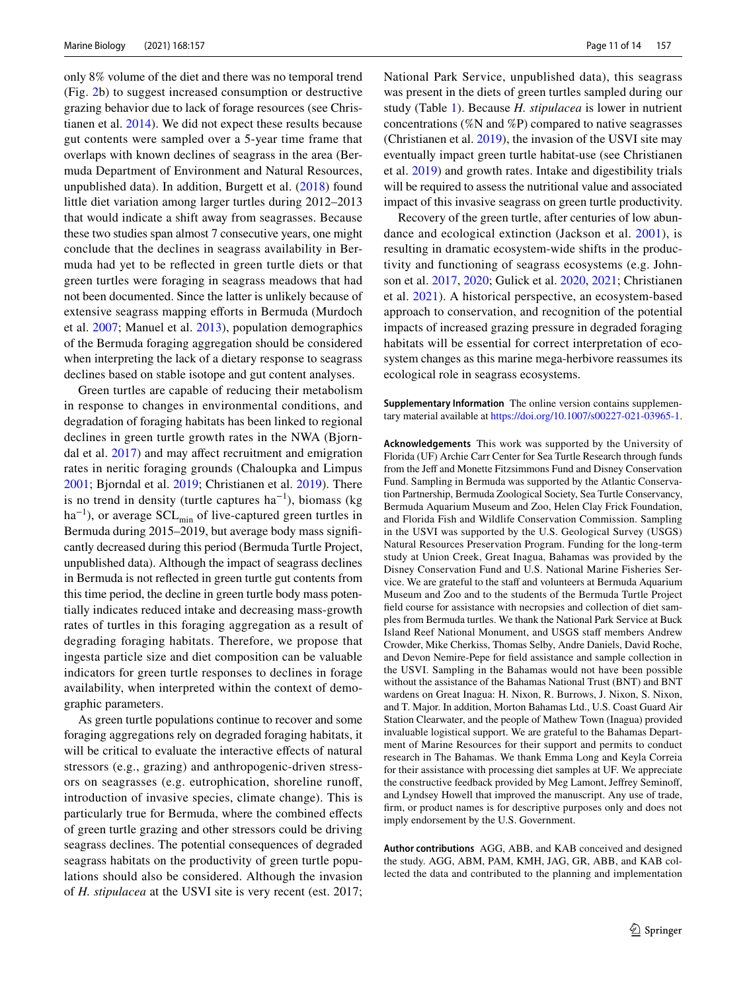only 8% volume of the diet and there was no temporal trend (Fig. [2b](#page-6-0)) to suggest increased consumption or destructive grazing behavior due to lack of forage resources (see Christianen et al. [2014\)](#page-11-2). We did not expect these results because gut contents were sampled over a 5-year time frame that overlaps with known declines of seagrass in the area (Bermuda Department of Environment and Natural Resources, unpublished data). In addition, Burgett et al. [\(2018\)](#page-11-6) found little diet variation among larger turtles during 2012–2013 that would indicate a shift away from seagrasses. Because these two studies span almost 7 consecutive years, one might conclude that the declines in seagrass availability in Bermuda had yet to be refected in green turtle diets or that green turtles were foraging in seagrass meadows that had not been documented. Since the latter is unlikely because of extensive seagrass mapping efforts in Bermuda (Murdoch et al. [2007](#page-13-14); Manuel et al. [2013](#page-12-23)), population demographics of the Bermuda foraging aggregation should be considered when interpreting the lack of a dietary response to seagrass declines based on stable isotope and gut content analyses.

Green turtles are capable of reducing their metabolism in response to changes in environmental conditions, and degradation of foraging habitats has been linked to regional declines in green turtle growth rates in the NWA (Bjorndal et al. [2017](#page-11-17)) and may afect recruitment and emigration rates in neritic foraging grounds (Chaloupka and Limpus [2001](#page-11-18); Bjorndal et al. [2019](#page-11-19); Christianen et al. [2019\)](#page-11-4). There is no trend in density (turtle captures  $ha^{-1}$ ), biomass (kg  $ha^{-1}$ ), or average SCL<sub>min</sub> of live-captured green turtles in Bermuda during 2015–2019, but average body mass signifcantly decreased during this period (Bermuda Turtle Project, unpublished data). Although the impact of seagrass declines in Bermuda is not refected in green turtle gut contents from this time period, the decline in green turtle body mass potentially indicates reduced intake and decreasing mass-growth rates of turtles in this foraging aggregation as a result of degrading foraging habitats. Therefore, we propose that ingesta particle size and diet composition can be valuable indicators for green turtle responses to declines in forage availability, when interpreted within the context of demographic parameters.

As green turtle populations continue to recover and some foraging aggregations rely on degraded foraging habitats, it will be critical to evaluate the interactive effects of natural stressors (e.g., grazing) and anthropogenic-driven stressors on seagrasses (e.g. eutrophication, shoreline runof, introduction of invasive species, climate change). This is particularly true for Bermuda, where the combined efects of green turtle grazing and other stressors could be driving seagrass declines. The potential consequences of degraded seagrass habitats on the productivity of green turtle populations should also be considered. Although the invasion of *H. stipulacea* at the USVI site is very recent (est. 2017; National Park Service, unpublished data), this seagrass was present in the diets of green turtles sampled during our study (Table [1\)](#page-5-0). Because *H. stipulacea* is lower in nutrient concentrations (%N and %P) compared to native seagrasses (Christianen et al. [2019\)](#page-11-4), the invasion of the USVI site may eventually impact green turtle habitat-use (see Christianen et al. [2019\)](#page-11-4) and growth rates. Intake and digestibility trials will be required to assess the nutritional value and associated impact of this invasive seagrass on green turtle productivity.

Recovery of the green turtle, after centuries of low abundance and ecological extinction (Jackson et al. [2001\)](#page-12-4), is resulting in dramatic ecosystem-wide shifts in the productivity and functioning of seagrass ecosystems (e.g. Johnson et al. [2017,](#page-12-11) [2020;](#page-12-12) Gulick et al. [2020](#page-12-13), [2021](#page-12-14); Christianen et al. [2021\)](#page-12-0). A historical perspective, an ecosystem-based approach to conservation, and recognition of the potential impacts of increased grazing pressure in degraded foraging habitats will be essential for correct interpretation of ecosystem changes as this marine mega-herbivore reassumes its ecological role in seagrass ecosystems.

**Supplementary Information** The online version contains supplementary material available at<https://doi.org/10.1007/s00227-021-03965-1>.

**Acknowledgements** This work was supported by the University of Florida (UF) Archie Carr Center for Sea Turtle Research through funds from the Jeff and Monette Fitzsimmons Fund and Disney Conservation Fund. Sampling in Bermuda was supported by the Atlantic Conservation Partnership, Bermuda Zoological Society, Sea Turtle Conservancy, Bermuda Aquarium Museum and Zoo, Helen Clay Frick Foundation, and Florida Fish and Wildlife Conservation Commission. Sampling in the USVI was supported by the U.S. Geological Survey (USGS) Natural Resources Preservation Program. Funding for the long-term study at Union Creek, Great Inagua, Bahamas was provided by the Disney Conservation Fund and U.S. National Marine Fisheries Service. We are grateful to the staff and volunteers at Bermuda Aquarium Museum and Zoo and to the students of the Bermuda Turtle Project feld course for assistance with necropsies and collection of diet samples from Bermuda turtles. We thank the National Park Service at Buck Island Reef National Monument, and USGS staf members Andrew Crowder, Mike Cherkiss, Thomas Selby, Andre Daniels, David Roche, and Devon Nemire-Pepe for feld assistance and sample collection in the USVI. Sampling in the Bahamas would not have been possible without the assistance of the Bahamas National Trust (BNT) and BNT wardens on Great Inagua: H. Nixon, R. Burrows, J. Nixon, S. Nixon, and T. Major. In addition, Morton Bahamas Ltd., U.S. Coast Guard Air Station Clearwater, and the people of Mathew Town (Inagua) provided invaluable logistical support. We are grateful to the Bahamas Department of Marine Resources for their support and permits to conduct research in The Bahamas. We thank Emma Long and Keyla Correia for their assistance with processing diet samples at UF. We appreciate the constructive feedback provided by Meg Lamont, Jefrey Seminof, and Lyndsey Howell that improved the manuscript. Any use of trade, frm, or product names is for descriptive purposes only and does not imply endorsement by the U.S. Government.

**Author contributions** AGG, ABB, and KAB conceived and designed the study. AGG, ABM, PAM, KMH, JAG, GR, ABB, and KAB collected the data and contributed to the planning and implementation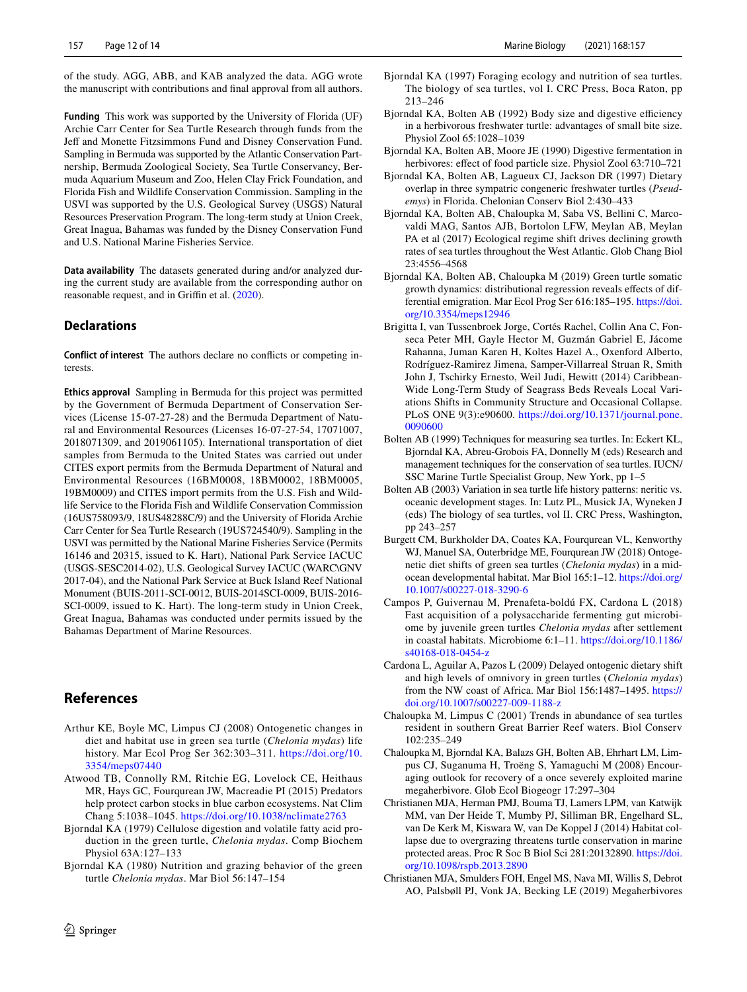of the study. AGG, ABB, and KAB analyzed the data. AGG wrote the manuscript with contributions and fnal approval from all authors.

**Funding** This work was supported by the University of Florida (UF) Archie Carr Center for Sea Turtle Research through funds from the Jeff and Monette Fitzsimmons Fund and Disney Conservation Fund. Sampling in Bermuda was supported by the Atlantic Conservation Partnership, Bermuda Zoological Society, Sea Turtle Conservancy, Bermuda Aquarium Museum and Zoo, Helen Clay Frick Foundation, and Florida Fish and Wildlife Conservation Commission. Sampling in the USVI was supported by the U.S. Geological Survey (USGS) Natural Resources Preservation Program. The long-term study at Union Creek, Great Inagua, Bahamas was funded by the Disney Conservation Fund and U.S. National Marine Fisheries Service.

**Data availability** The datasets generated during and/or analyzed during the current study are available from the corresponding author on reasonable request, and in Griffin et al. ([2020\)](#page-12-27).

#### **Declarations**

**Conflict of interest** The authors declare no conficts or competing interests.

**Ethics approval** Sampling in Bermuda for this project was permitted by the Government of Bermuda Department of Conservation Services (License 15-07-27-28) and the Bermuda Department of Natural and Environmental Resources (Licenses 16-07-27-54, 17071007, 2018071309, and 2019061105). International transportation of diet samples from Bermuda to the United States was carried out under CITES export permits from the Bermuda Department of Natural and Environmental Resources (16BM0008, 18BM0002, 18BM0005, 19BM0009) and CITES import permits from the U.S. Fish and Wildlife Service to the Florida Fish and Wildlife Conservation Commission (16US758093/9, 18US48288C/9) and the University of Florida Archie Carr Center for Sea Turtle Research (19US724540/9). Sampling in the USVI was permitted by the National Marine Fisheries Service (Permits 16146 and 20315, issued to K. Hart), National Park Service IACUC (USGS-SESC2014-02), U.S. Geological Survey IACUC (WARC\GNV 2017-04), and the National Park Service at Buck Island Reef National Monument (BUIS-2011-SCI-0012, BUIS-2014SCI-0009, BUIS-2016- SCI-0009, issued to K. Hart). The long-term study in Union Creek, Great Inagua, Bahamas was conducted under permits issued by the Bahamas Department of Marine Resources.

# **References**

- <span id="page-11-8"></span>Arthur KE, Boyle MC, Limpus CJ (2008) Ontogenetic changes in diet and habitat use in green sea turtle (*Chelonia mydas*) life history. Mar Ecol Prog Ser 362:303–311. [https://doi.org/10.](https://doi.org/10.3354/meps07440) [3354/meps07440](https://doi.org/10.3354/meps07440)
- <span id="page-11-3"></span>Atwood TB, Connolly RM, Ritchie EG, Lovelock CE, Heithaus MR, Hays GC, Fourqurean JW, Macreadie PI (2015) Predators help protect carbon stocks in blue carbon ecosystems. Nat Clim Chang 5:1038–1045.<https://doi.org/10.1038/nclimate2763>
- <span id="page-11-14"></span>Bjorndal KA (1979) Cellulose digestion and volatile fatty acid production in the green turtle, *Chelonia mydas*. Comp Biochem Physiol 63A:127–133
- <span id="page-11-9"></span>Bjorndal KA (1980) Nutrition and grazing behavior of the green turtle *Chelonia mydas*. Mar Biol 56:147–154
- <span id="page-11-0"></span>Bjorndal KA (1997) Foraging ecology and nutrition of sea turtles. The biology of sea turtles, vol I. CRC Press, Boca Raton, pp 213–246
- <span id="page-11-15"></span>Bjorndal KA, Bolten AB (1992) Body size and digestive efficiency in a herbivorous freshwater turtle: advantages of small bite size. Physiol Zool 65:1028–1039
- <span id="page-11-10"></span>Bjorndal KA, Bolten AB, Moore JE (1990) Digestive fermentation in herbivores: effect of food particle size. Physiol Zool 63:710-721
- <span id="page-11-12"></span>Bjorndal KA, Bolten AB, Lagueux CJ, Jackson DR (1997) Dietary overlap in three sympatric congeneric freshwater turtles (*Pseudemys*) in Florida. Chelonian Conserv Biol 2:430–433
- <span id="page-11-17"></span>Bjorndal KA, Bolten AB, Chaloupka M, Saba VS, Bellini C, Marcovaldi MAG, Santos AJB, Bortolon LFW, Meylan AB, Meylan PA et al (2017) Ecological regime shift drives declining growth rates of sea turtles throughout the West Atlantic. Glob Chang Biol 23:4556–4568
- <span id="page-11-19"></span>Bjorndal KA, Bolten AB, Chaloupka M (2019) Green turtle somatic growth dynamics: distributional regression reveals efects of differential emigration. Mar Ecol Prog Ser 616:185–195. [https://doi.](https://doi.org/10.3354/meps12946) [org/10.3354/meps12946](https://doi.org/10.3354/meps12946)
- <span id="page-11-13"></span>Brigitta I, van Tussenbroek Jorge, Cortés Rachel, Collin Ana C, Fonseca Peter MH, Gayle Hector M, Guzmán Gabriel E, Jácome Rahanna, Juman Karen H, Koltes Hazel A., Oxenford Alberto, Rodríguez-Ramirez Jimena, Samper-Villarreal Struan R, Smith John J, Tschirky Ernesto, Weil Judi, Hewitt (2014) Caribbean-Wide Long-Term Study of Seagrass Beds Reveals Local Variations Shifts in Community Structure and Occasional Collapse. PLoS ONE 9(3):e90600. [https://doi.org/10.1371/journal.pone.](https://doi.org/10.1371/journal.pone.0090600) [0090600](https://doi.org/10.1371/journal.pone.0090600)
- <span id="page-11-11"></span>Bolten AB (1999) Techniques for measuring sea turtles. In: Eckert KL, Bjorndal KA, Abreu-Grobois FA, Donnelly M (eds) Research and management techniques for the conservation of sea turtles. IUCN/ SSC Marine Turtle Specialist Group, New York, pp 1–5
- <span id="page-11-7"></span>Bolten AB (2003) Variation in sea turtle life history patterns: neritic vs. oceanic development stages. In: Lutz PL, Musick JA, Wyneken J (eds) The biology of sea turtles, vol II. CRC Press, Washington, pp 243–257
- <span id="page-11-6"></span>Burgett CM, Burkholder DA, Coates KA, Fourqurean VL, Kenworthy WJ, Manuel SA, Outerbridge ME, Fourqurean JW (2018) Ontogenetic diet shifts of green sea turtles (*Chelonia mydas*) in a midocean developmental habitat. Mar Biol 165:1–12. [https://doi.org/](https://doi.org/10.1007/s00227-018-3290-6) [10.1007/s00227-018-3290-6](https://doi.org/10.1007/s00227-018-3290-6)
- <span id="page-11-16"></span>Campos P, Guivernau M, Prenafeta-boldú FX, Cardona L (2018) Fast acquisition of a polysaccharide fermenting gut microbiome by juvenile green turtles *Chelonia mydas* after settlement in coastal habitats. Microbiome 6:1–11. [https://doi.org/10.1186/](https://doi.org/10.1186/s40168-018-0454-z) [s40168-018-0454-z](https://doi.org/10.1186/s40168-018-0454-z)
- <span id="page-11-5"></span>Cardona L, Aguilar A, Pazos L (2009) Delayed ontogenic dietary shift and high levels of omnivory in green turtles (*Chelonia mydas*) from the NW coast of Africa. Mar Biol 156:1487–1495. [https://](https://doi.org/10.1007/s00227-009-1188-z) [doi.org/10.1007/s00227-009-1188-z](https://doi.org/10.1007/s00227-009-1188-z)
- <span id="page-11-18"></span>Chaloupka M, Limpus C (2001) Trends in abundance of sea turtles resident in southern Great Barrier Reef waters. Biol Conserv 102:235–249
- <span id="page-11-1"></span>Chaloupka M, Bjorndal KA, Balazs GH, Bolten AB, Ehrhart LM, Limpus CJ, Suganuma H, Troëng S, Yamaguchi M (2008) Encouraging outlook for recovery of a once severely exploited marine megaherbivore. Glob Ecol Biogeogr 17:297–304
- <span id="page-11-2"></span>Christianen MJA, Herman PMJ, Bouma TJ, Lamers LPM, van Katwijk MM, van Der Heide T, Mumby PJ, Silliman BR, Engelhard SL, van De Kerk M, Kiswara W, van De Koppel J (2014) Habitat collapse due to overgrazing threatens turtle conservation in marine protected areas. Proc R Soc B Biol Sci 281:20132890. [https://doi.](https://doi.org/10.1098/rspb.2013.2890) [org/10.1098/rspb.2013.2890](https://doi.org/10.1098/rspb.2013.2890)
- <span id="page-11-4"></span>Christianen MJA, Smulders FOH, Engel MS, Nava MI, Willis S, Debrot AO, Palsbøll PJ, Vonk JA, Becking LE (2019) Megaherbivores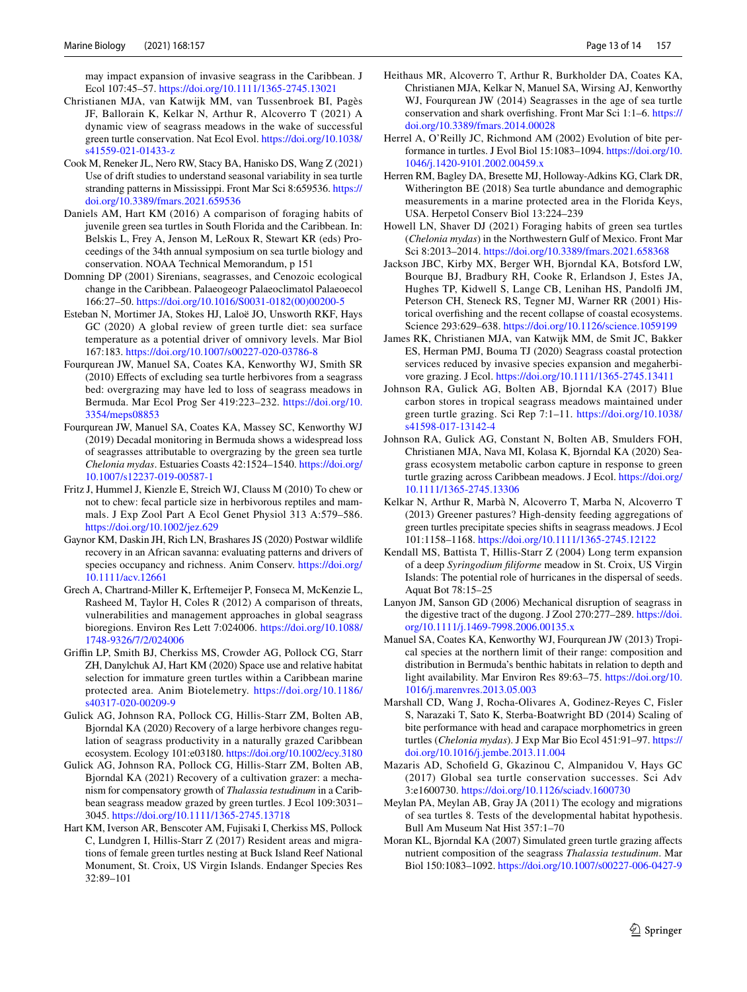may impact expansion of invasive seagrass in the Caribbean. J Ecol 107:45–57. <https://doi.org/10.1111/1365-2745.13021>

- <span id="page-12-0"></span>Christianen MJA, van Katwijk MM, van Tussenbroek BI, Pagès JF, Ballorain K, Kelkar N, Arthur R, Alcoverro T (2021) A dynamic view of seagrass meadows in the wake of successful green turtle conservation. Nat Ecol Evol. [https://doi.org/10.1038/](https://doi.org/10.1038/s41559-021-01433-z) [s41559-021-01433-z](https://doi.org/10.1038/s41559-021-01433-z)
- <span id="page-12-29"></span>Cook M, Reneker JL, Nero RW, Stacy BA, Hanisko DS, Wang Z (2021) Use of drift studies to understand seasonal variability in sea turtle stranding patterns in Mississippi. Front Mar Sci 8:659536. [https://](https://doi.org/10.3389/fmars.2021.659536) [doi.org/10.3389/fmars.2021.659536](https://doi.org/10.3389/fmars.2021.659536)
- <span id="page-12-28"></span>Daniels AM, Hart KM (2016) A comparison of foraging habits of juvenile green sea turtles in South Florida and the Caribbean. In: Belskis L, Frey A, Jenson M, LeRoux R, Stewart KR (eds) Proceedings of the 34th annual symposium on sea turtle biology and conservation. NOAA Technical Memorandum, p 151
- <span id="page-12-3"></span>Domning DP (2001) Sirenians, seagrasses, and Cenozoic ecological change in the Caribbean. Palaeogeogr Palaeoclimatol Palaeoecol 166:27–50. [https://doi.org/10.1016/S0031-0182\(00\)00200-5](https://doi.org/10.1016/S0031-0182(00)00200-5)
- <span id="page-12-15"></span>Esteban N, Mortimer JA, Stokes HJ, Laloë JO, Unsworth RKF, Hays GC (2020) A global review of green turtle diet: sea surface temperature as a potential driver of omnivory levels. Mar Biol 167:183.<https://doi.org/10.1007/s00227-020-03786-8>
- <span id="page-12-6"></span>Fourqurean JW, Manuel SA, Coates KA, Kenworthy WJ, Smith SR (2010) Efects of excluding sea turtle herbivores from a seagrass bed: overgrazing may have led to loss of seagrass meadows in Bermuda. Mar Ecol Prog Ser 419:223–232. [https://doi.org/10.](https://doi.org/10.3354/meps08853) [3354/meps08853](https://doi.org/10.3354/meps08853)
- <span id="page-12-7"></span>Fourqurean JW, Manuel SA, Coates KA, Massey SC, Kenworthy WJ (2019) Decadal monitoring in Bermuda shows a widespread loss of seagrasses attributable to overgrazing by the green sea turtle *Chelonia mydas*. Estuaries Coasts 42:1524–1540. [https://doi.org/](https://doi.org/10.1007/s12237-019-00587-1) [10.1007/s12237-019-00587-1](https://doi.org/10.1007/s12237-019-00587-1)
- <span id="page-12-19"></span>Fritz J, Hummel J, Kienzle E, Streich WJ, Clauss M (2010) To chew or not to chew: fecal particle size in herbivorous reptiles and mammals. J Exp Zool Part A Ecol Genet Physiol 313 A:579–586. <https://doi.org/10.1002/jez.629>
- <span id="page-12-1"></span>Gaynor KM, Daskin JH, Rich LN, Brashares JS (2020) Postwar wildlife recovery in an African savanna: evaluating patterns and drivers of species occupancy and richness. Anim Conserv. [https://doi.org/](https://doi.org/10.1111/acv.12661) [10.1111/acv.12661](https://doi.org/10.1111/acv.12661)
- <span id="page-12-5"></span>Grech A, Chartrand-Miller K, Erftemeijer P, Fonseca M, McKenzie L, Rasheed M, Taylor H, Coles R (2012) A comparison of threats, vulnerabilities and management approaches in global seagrass bioregions. Environ Res Lett 7:024006. [https://doi.org/10.1088/](https://doi.org/10.1088/1748-9326/7/2/024006) [1748-9326/7/2/024006](https://doi.org/10.1088/1748-9326/7/2/024006)
- <span id="page-12-27"></span>Grifn LP, Smith BJ, Cherkiss MS, Crowder AG, Pollock CG, Starr ZH, Danylchuk AJ, Hart KM (2020) Space use and relative habitat selection for immature green turtles within a Caribbean marine protected area. Anim Biotelemetry. [https://doi.org/10.1186/](https://doi.org/10.1186/s40317-020-00209-9) [s40317-020-00209-9](https://doi.org/10.1186/s40317-020-00209-9)
- <span id="page-12-13"></span>Gulick AG, Johnson RA, Pollock CG, Hillis-Starr ZM, Bolten AB, Bjorndal KA (2020) Recovery of a large herbivore changes regulation of seagrass productivity in a naturally grazed Caribbean ecosystem. Ecology 101:e03180.<https://doi.org/10.1002/ecy.3180>
- <span id="page-12-14"></span>Gulick AG, Johnson RA, Pollock CG, Hillis-Starr ZM, Bolten AB, Bjorndal KA (2021) Recovery of a cultivation grazer: a mechanism for compensatory growth of *Thalassia testudinum* in a Caribbean seagrass meadow grazed by green turtles. J Ecol 109:3031– 3045.<https://doi.org/10.1111/1365-2745.13718>
- <span id="page-12-26"></span>Hart KM, Iverson AR, Benscoter AM, Fujisaki I, Cherkiss MS, Pollock C, Lundgren I, Hillis-Starr Z (2017) Resident areas and migrations of female green turtles nesting at Buck Island Reef National Monument, St. Croix, US Virgin Islands. Endanger Species Res 32:89–101
- <span id="page-12-9"></span>Heithaus MR, Alcoverro T, Arthur R, Burkholder DA, Coates KA, Christianen MJA, Kelkar N, Manuel SA, Wirsing AJ, Kenworthy WJ, Fourqurean JW (2014) Seagrasses in the age of sea turtle conservation and shark overfshing. Front Mar Sci 1:1–6. [https://](https://doi.org/10.3389/fmars.2014.00028) [doi.org/10.3389/fmars.2014.00028](https://doi.org/10.3389/fmars.2014.00028)
- <span id="page-12-20"></span>Herrel A, O'Reilly JC, Richmond AM (2002) Evolution of bite performance in turtles. J Evol Biol 15:1083–1094. [https://doi.org/10.](https://doi.org/10.1046/j.1420-9101.2002.00459.x) [1046/j.1420-9101.2002.00459.x](https://doi.org/10.1046/j.1420-9101.2002.00459.x)
- <span id="page-12-22"></span>Herren RM, Bagley DA, Bresette MJ, Holloway-Adkins KG, Clark DR, Witherington BE (2018) Sea turtle abundance and demographic measurements in a marine protected area in the Florida Keys, USA. Herpetol Conserv Biol 13:224–239
- <span id="page-12-16"></span>Howell LN, Shaver DJ (2021) Foraging habits of green sea turtles (*Chelonia mydas*) in the Northwestern Gulf of Mexico. Front Mar Sci 8:2013–2014. <https://doi.org/10.3389/fmars.2021.658368>
- <span id="page-12-4"></span>Jackson JBC, Kirby MX, Berger WH, Bjorndal KA, Botsford LW, Bourque BJ, Bradbury RH, Cooke R, Erlandson J, Estes JA, Hughes TP, Kidwell S, Lange CB, Lenihan HS, Pandolf JM, Peterson CH, Steneck RS, Tegner MJ, Warner RR (2001) Historical overfshing and the recent collapse of coastal ecosystems. Science 293:629–638. <https://doi.org/10.1126/science.1059199>
- <span id="page-12-10"></span>James RK, Christianen MJA, van Katwijk MM, de Smit JC, Bakker ES, Herman PMJ, Bouma TJ (2020) Seagrass coastal protection services reduced by invasive species expansion and megaherbivore grazing. J Ecol. <https://doi.org/10.1111/1365-2745.13411>
- <span id="page-12-11"></span>Johnson RA, Gulick AG, Bolten AB, Bjorndal KA (2017) Blue carbon stores in tropical seagrass meadows maintained under green turtle grazing. Sci Rep 7:1–11. [https://doi.org/10.1038/](https://doi.org/10.1038/s41598-017-13142-4) [s41598-017-13142-4](https://doi.org/10.1038/s41598-017-13142-4)
- <span id="page-12-12"></span>Johnson RA, Gulick AG, Constant N, Bolten AB, Smulders FOH, Christianen MJA, Nava MI, Kolasa K, Bjorndal KA (2020) Seagrass ecosystem metabolic carbon capture in response to green turtle grazing across Caribbean meadows. J Ecol. [https://doi.org/](https://doi.org/10.1111/1365-2745.13306) [10.1111/1365-2745.13306](https://doi.org/10.1111/1365-2745.13306)
- <span id="page-12-8"></span>Kelkar N, Arthur R, Marbà N, Alcoverro T, Marba N, Alcoverro T (2013) Greener pastures? High-density feeding aggregations of green turtles precipitate species shifts in seagrass meadows. J Ecol 101:1158–1168.<https://doi.org/10.1111/1365-2745.12122>
- <span id="page-12-25"></span>Kendall MS, Battista T, Hillis-Starr Z (2004) Long term expansion of a deep *Syringodium fliforme* meadow in St. Croix, US Virgin Islands: The potential role of hurricanes in the dispersal of seeds. Aquat Bot 78:15–25
- <span id="page-12-18"></span>Lanyon JM, Sanson GD (2006) Mechanical disruption of seagrass in the digestive tract of the dugong. J Zool 270:277–289. [https://doi.](https://doi.org/10.1111/j.1469-7998.2006.00135.x) [org/10.1111/j.1469-7998.2006.00135.x](https://doi.org/10.1111/j.1469-7998.2006.00135.x)
- <span id="page-12-23"></span>Manuel SA, Coates KA, Kenworthy WJ, Fourqurean JW (2013) Tropical species at the northern limit of their range: composition and distribution in Bermuda's benthic habitats in relation to depth and light availability. Mar Environ Res 89:63–75. [https://doi.org/10.](https://doi.org/10.1016/j.marenvres.2013.05.003) [1016/j.marenvres.2013.05.003](https://doi.org/10.1016/j.marenvres.2013.05.003)
- <span id="page-12-21"></span>Marshall CD, Wang J, Rocha-Olivares A, Godinez-Reyes C, Fisler S, Narazaki T, Sato K, Sterba-Boatwright BD (2014) Scaling of bite performance with head and carapace morphometrics in green turtles (*Chelonia mydas*). J Exp Mar Bio Ecol 451:91–97. [https://](https://doi.org/10.1016/j.jembe.2013.11.004) [doi.org/10.1016/j.jembe.2013.11.004](https://doi.org/10.1016/j.jembe.2013.11.004)
- <span id="page-12-2"></span>Mazaris AD, Schofeld G, Gkazinou C, Almpanidou V, Hays GC (2017) Global sea turtle conservation successes. Sci Adv 3:e1600730.<https://doi.org/10.1126/sciadv.1600730>
- <span id="page-12-24"></span>Meylan PA, Meylan AB, Gray JA (2011) The ecology and migrations of sea turtles 8. Tests of the developmental habitat hypothesis. Bull Am Museum Nat Hist 357:1–70
- <span id="page-12-17"></span>Moran KL, Bjorndal KA (2007) Simulated green turtle grazing afects nutrient composition of the seagrass *Thalassia testudinum*. Mar Biol 150:1083–1092.<https://doi.org/10.1007/s00227-006-0427-9>